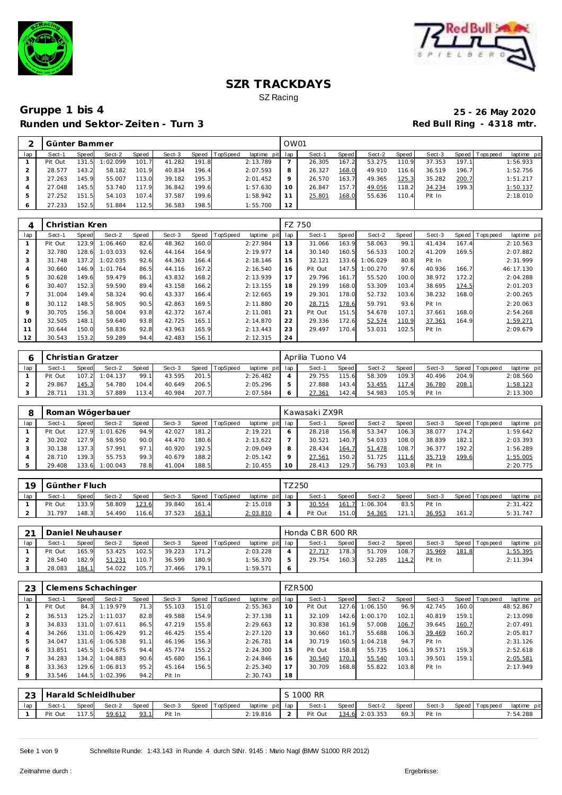



|     | Günter Bammer |       |          |       |        |       |          |                 | OW01 |        |       |        |         |        |       |            |             |
|-----|---------------|-------|----------|-------|--------|-------|----------|-----------------|------|--------|-------|--------|---------|--------|-------|------------|-------------|
| lap | Sect-1        | Speed | Sect-2   | Speed | Sect-3 | Speed | TopSpeed | laptime pit lap |      | Sect-1 | Speed | Sect-2 | Speed I | Sect-3 | Speed | T ops peed | laptime pit |
|     | Pit Out       | 131.5 | 1:02.099 | 101.7 | 41.282 | 191.8 |          | 2:13.789        |      | 26.305 | 167.2 | 53.275 | 110.9   | 37.353 | 197.1 |            | 1:56.933    |
|     | 28.577        | 143.2 | 58.182   | 101.9 | 40.834 | 196.4 |          | 2:07.593        |      | 26.327 | 168.0 | 49.910 | 116.6   | 36.519 | 196.7 |            | 1:52.756    |
|     | 27.263        | 145.9 | 55.007   | 113.0 | 39.182 | 195.3 |          | 2:01.452        |      | 26.570 | 163.7 | 49.365 | 125.3   | 35.282 | 200.7 |            | 1:51.217    |
|     | 27.048        | 145.5 | 53.740   | 117.9 | 36.842 | 199.6 |          | 1:57.630        | 10   | 26.847 | 157.7 | 49.056 | 118.2   | 34.234 | 199.3 |            | 1:50.137    |
|     | 27.252        | 151.5 | 54.103   | 107.4 | 37.587 | 199.6 |          | 1:58.942        |      | 25.801 | 168.0 | 55.636 | 110.4   | Pit In |       |            | 2:18.010    |
|     | 27.233        | 152.5 | 51.884   | 112.5 | 36.583 | 198.5 |          | 1:55.700        | 12   |        |       |        |         |        |       |            |             |

|                | Christian Kren |       |          |       |        |       |         |             |     | FZ 750  |       |          |       |        |       |                |             |
|----------------|----------------|-------|----------|-------|--------|-------|---------|-------------|-----|---------|-------|----------|-------|--------|-------|----------------|-------------|
| lap            | Sect-1         | Speed | Sect-2   | Speed | Sect-3 | Speed | opSpeed | laptime pit | lap | Sect-1  | Speed | Sect-2   | Speed | Sect-3 |       | Speed Topspeed | laptime pit |
|                | Pit Out        | 123.9 | 1:06.460 | 82.6  | 48.362 | 160.0 |         | 2:27.984    | 13  | 31.066  | 163.9 | 58.063   | 99.1  | 41.434 | 167.4 |                | 2:10.563    |
| $\overline{2}$ | 32.780         | 128.6 | 1:03.033 | 92.6  | 44.164 | 164.9 |         | 2:19.977    | 14  | 30.140  | 160.5 | 56.533   | 100.2 | 41.209 | 169.5 |                | 2:07.882    |
| 3              | 31.748         | 137.2 | 1:02.035 | 92.6  | 44.363 | 166.4 |         | 2:18.146    | 15  | 32.121  | 133.6 | 1:06.029 | 80.8  | Pit In |       |                | 2:31.999    |
| 4              | 30.660         | 146.9 | 1:01.764 | 86.5  | 44.116 | 167.2 |         | 2:16.540    | 16  | Pit Out | 147.5 | 1:00.270 | 97.6  | 40.936 | 166.7 |                | 46:17.130   |
| 5              | 30.628         | 149.6 | 59.479   | 86.1  | 43.832 | 168.2 |         | 2:13.939    | 17  | 29.796  | 161.7 | 55.520   | 100.0 | 38.972 | 172.2 |                | 2:04.288    |
| 6              | 30.407         | 152.3 | 59.590   | 89.4  | 43.158 | 166.2 |         | 2:13.155    | 18  | 29.199  | 168.0 | 53.309   | 103.4 | 38.695 | 174.5 |                | 2:01.203    |
|                | 31.004         | 149.4 | 58.324   | 90.6  | 43.337 | 166.4 |         | 2:12.665    | 19  | 29.301  | 178.0 | 52.732   | 103.6 | 38.232 | 168.0 |                | 2:00.265    |
| 8              | 30.112         | 148.5 | 58.905   | 90.5  | 42.863 | 169.5 |         | 2:11.880    | 20  | 28.715  | 178.6 | 59.791   | 93.6  | Pit In |       |                | 2:20.063    |
| 9              | 30.705         | 156.3 | 58.004   | 93.8  | 42.372 | 167.4 |         | 2:11.081    | 21  | Pit Out | 151.5 | 54.678   | 107.1 | 37.661 | 168.0 |                | 2:54.268    |
| 10             | 32.505         | 148.1 | 59.640   | 93.8  | 42.725 | 165.1 |         | 2:14.870    | 22  | 29.336  | 172.6 | 52.574   | 110.9 | 37.361 | 164.9 |                | 1:59.271    |
| 11             | 30.644         | 150.0 | 58.836   | 92.8  | 43.963 | 165.9 |         | 2:13.443    | 23  | 29.497  | 170.4 | 53.031   | 102.5 | Pit In |       |                | 2:09.679    |
| 12             | 30.543         | 153.2 | 59.289   | 94.4  | 42.483 | 156.1 |         | 2:12.315    | 24  |         |       |          |       |        |       |                |             |

|     | Christian Gratzer |       |                |              |        |       |          |                 | Aprilia Tuono V4 |       |        |         |        |       |                |             |
|-----|-------------------|-------|----------------|--------------|--------|-------|----------|-----------------|------------------|-------|--------|---------|--------|-------|----------------|-------------|
| lap | Sect-1            | Speed | Sect-2         | <b>Speed</b> | Sect-3 | Speed | TopSpeed | laptime pit lap | Sect-1           | Speed | Sect-2 | Speed I | Sect-3 |       | Speed Topspeed | laptime pit |
|     | Pit Out           |       | 107.2 1:04.137 | 99.1         | 43.595 | 201.5 |          | 2:26.482        | 29.755           | 115.6 | 58.309 | 109.3   | 40.496 | 204.9 |                | 2:08.560    |
|     | 29.867            | 145.3 | 54.780         | 104.4        | 40.649 | 206.5 |          | 2:05.296        | 27.888           | 143.4 | 53.455 | 117.4   | 36.780 | 208.1 |                | 1:58.123    |
|     | 28.711            | 131.3 | 57.889         | 113.4        | 40.984 | 207.7 |          | 2:07.584        | 27.36            | 142.4 | 54.983 | 105.9   | Pit In |       |                | 2:13.300    |

|     |         |       | Roman Wögerbauer |              |        |       |                |             |                 | Kawasaki ZX9R |       |        |       |        |       |                |             |
|-----|---------|-------|------------------|--------------|--------|-------|----------------|-------------|-----------------|---------------|-------|--------|-------|--------|-------|----------------|-------------|
| lap | Sect-1  | Speed | Sect-2           | <b>Speed</b> | Sect-3 |       | Speed TopSpeed | laptime pit | lap             | Sect-1        | Speed | Sect-2 | Speed | Sect-3 |       | Speed Topspeed | laptime pit |
|     | Pit Out | 127.9 | 1:01.626         | 94.9         | 42.027 | 181.2 |                | 2:19.221    | 6               | 28.218        | 156.8 | 53.347 | 106.3 | 38.077 | 174.2 |                | 1:59.642    |
|     | 30.202  | 127.9 | 58.950           | 90.0         | 44.470 | 180.6 |                | 2:13.622    |                 | 30.521        | 140.7 | 54.033 | 108.0 | 38.839 | 182.1 |                | 2:03.393    |
|     | 30.138  | 137.3 | 57.991           | 97.1         | 40.920 | 192.5 |                | 2:09.049    | 8               | 28.434        | 164.7 | 51.478 | 108.7 | 36.377 | 192.2 |                | 1:56.289    |
|     | 28.710  | 139.3 | 55.753           | 99.3         | 40.679 | 188.2 |                | 2:05.142    |                 | 27.561        | 150.2 | 51.725 | 111.6 | 35.719 | 199.6 |                | 1:55.005    |
|     | 29.408  | 133.6 | 1:00.043         | 78.8         | 41.004 | 188.5 |                | 2:10.455    | 10 <sup>°</sup> | 28.413        | 129.7 | 56.793 | 103.8 | Pit In |       |                | 2:20.775    |

| 19  | Günther Fluch |       |        |              |        |       |                |                 | TZ 250 |         |       |                |         |        |       |                   |             |
|-----|---------------|-------|--------|--------------|--------|-------|----------------|-----------------|--------|---------|-------|----------------|---------|--------|-------|-------------------|-------------|
| lap | Sect-1        | Speed | Sect-2 | <b>Speed</b> | Sect-3 |       | Speed TopSpeed | laptime pit lap |        | Sect-1  | Speed | Sect-2         | Speed I | Sect-3 |       | Speed   Tops peed | laptime pit |
|     | Pit Out       | 133.9 | 58.809 | 123.6        | 39.840 | 161.4 |                | 2:15.018        |        | 30.554  |       | 161.7 1:06.304 | 83.5    | Pit In |       |                   | 2:31.422    |
|     | .797          | 148.3 | 54.490 | 116.6        | 37.523 | 163.1 |                | 2:03.810        |        | Pit Out | 151.0 | 54.365         | 121.1   | 36.953 | 161.2 |                   | 5:31.747    |

| 21  | Daniel Neuhauser |              |        |       |        |       |                |                 |                          | Honda CBR 600 RR |         |        |         |        |       |                 |             |
|-----|------------------|--------------|--------|-------|--------|-------|----------------|-----------------|--------------------------|------------------|---------|--------|---------|--------|-------|-----------------|-------------|
| lap | Sect-1           | <b>Speed</b> | Sect-2 | Speed | Sect-3 |       | Speed TopSpeed | laptime pit lap |                          | Sect-1           | Speed I | Sect-2 | Speed I | Sect-3 |       | Speed Tops peed | laptime pit |
|     | Pit Out          | 165.9        | 53.425 | 102.5 | 39.223 | 171.2 |                | 2:03.228        |                          | 27.717           | 178.3   | 51.709 | 108.7   | 35.969 | 181.8 |                 | 1:55.395    |
|     | 28.540           | 182.9        | 51.231 | 110.7 | 36.599 | 180.9 |                | 1:56.370        | $\overline{\phantom{a}}$ | 29.754           | 160.3   | 52.285 | 114.2   | Pit In |       |                 | 2:11.394    |
|     | 28.083           | 184.7        | 54.022 | 105.7 | 37.466 | 179.1 |                | 1:59.571        |                          |                  |         |        |         |        |       |                 |             |

| 23      |         |       | Clemens Schachinger |       |        |       |          |             |     | <b>FZR500</b> |            |          |       |        |       |                                |
|---------|---------|-------|---------------------|-------|--------|-------|----------|-------------|-----|---------------|------------|----------|-------|--------|-------|--------------------------------|
| lap     | Sect-1  | Speed | Sect-2              | Speed | Sect-3 | Speed | TopSpeed | laptime pit | lap | Sect-1        | Speed      | Sect-2   | Speed | Sect-3 |       | Speed Tops peed<br>laptime pit |
|         | Pit Out | 84.3  | 1:19.979            | 71.3  | 55.103 | 151.0 |          | 2:55.363    | 10  | Pit Out       | 127<br>-61 | 1:06.150 | 96.9  | 42.745 | 160.0 | 48:52.867                      |
| 2       | 36.513  | 125.2 | 1:11.037            | 82.8  | 49.588 | 154.9 |          | 2:37.138    |     | 32.109        | 142.6      | 1:00.170 | 102.1 | 40.819 | 159.1 | 2:13.098                       |
| 3       | 34.833  | 131.0 | 1:07.611            | 86.5  | 47.219 | 155.8 |          | 2:29.663    | 12  | 30.838        | 161.9      | 57.008   | 106.7 | 39.645 | 160.7 | 2:07.491                       |
| 4       | 34.266  | 131.0 | 1:06.429            | 91.2  | 46.425 | 155.4 |          | 2:27.120    | 13  | 30.660        | 161.7      | 55.688   | 106.3 | 39.469 | 160.2 | 2:05.817                       |
| 5       | 34.047  | 131.6 | 1:06.538            | 91.1  | 46.196 | 156.3 |          | 2:26.781    | 14  | 30.719        | 160.5      | 1:04.218 | 94.7  | Pit In |       | 2:31.126                       |
| 6       | 33.851  | 145.5 | 1:04.675            | 94.4  | 45.774 | 155.2 |          | 2:24.300    | 15  | Pit Out       | 158.8      | 55.735   | 106.1 | 39.571 | 159.3 | 2:52.618                       |
|         | 34.283  | 134.2 | 1:04.883            | 90.6  | 45.680 | 156.1 |          | 2:24.846    | 16  | 30.540        | 170.1      | 55.540   | 103.1 | 39.501 | 159.1 | 2:05.581                       |
| 8       | 33.363  | 129.6 | 1:06.813            | 95.2  | 45.164 | 156.5 |          | 2:25.340    | 17  | 30.709        | 168.8      | 55.822   | 103.8 | Pit In |       | 2:17.949                       |
| $\circ$ | 33.546  | 144.5 | 1:02.396            | 94.2  | Pit In |       |          | 2:30.743    | 18  |               |            |          |       |        |       |                                |

| 23  |         |              | Harald Schleidlhuber |              |        |                  |                 | S 1000 RR |       |                |       |        |                 |             |
|-----|---------|--------------|----------------------|--------------|--------|------------------|-----------------|-----------|-------|----------------|-------|--------|-----------------|-------------|
| lap | Sect-1  | <b>Speed</b> | Sect-2               | <b>Speed</b> | Sect-3 | Speed   TopSpeed | laptime pit lap | Sect-     | Speed | Sect-2         | Speed | Sect-3 | Speed Tops peed | laptime pit |
|     | Pit Out | 117.5        | 59.612               | 93.1         | Pit In |                  | 2:19.816        | Pit Out   |       | 134.6 2:03.353 | 69.3  | Pit In |                 | 7:54.288    |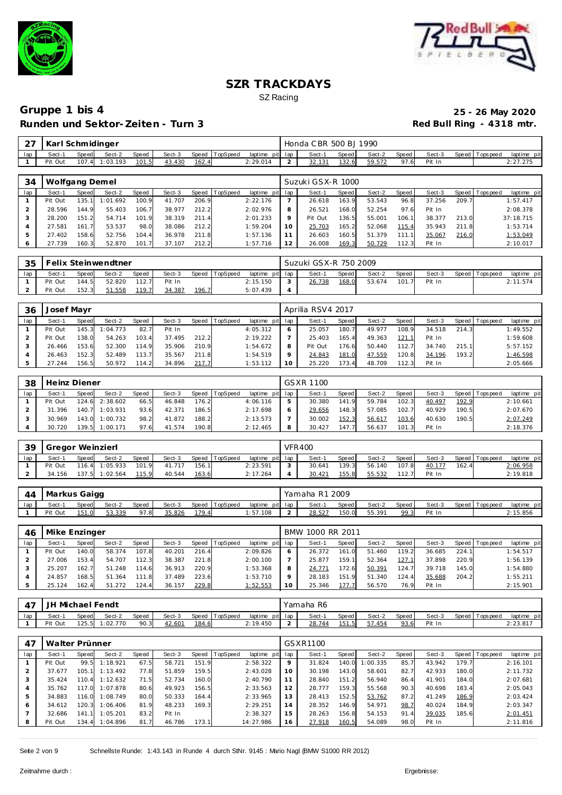



| $\sim$ $\rightarrow$ | Karl Schmidinger |       |                |       |        |       |                |                 | Honda C BR 500 BJ 1990 |       |        |       |        |                |             |
|----------------------|------------------|-------|----------------|-------|--------|-------|----------------|-----------------|------------------------|-------|--------|-------|--------|----------------|-------------|
| lap                  | Sect-1           | Speed | Sect-2         | Speed | Sect-3 |       | Speed TopSpeed | laptime pit lap | Sect-                  | Speed | Sect-2 | Speed | Sect-3 | Speed Topspeed | laptime pit |
|                      | Pit Out          |       | 107.4 1:03.193 | 101.5 | 43.430 | 162.4 |                | 2:29.014        |                        | 132.6 | 59.572 | 97.6  | Pit In |                | 2:27.275    |

| 34  | Wolfgang Demel |       |          |       |        |       |          |                 |         | Suzuki GSX-R 1000 |       |        |       |        |       |                 |             |
|-----|----------------|-------|----------|-------|--------|-------|----------|-----------------|---------|-------------------|-------|--------|-------|--------|-------|-----------------|-------------|
| lap | Sect-1         | Speed | Sect-2   | Speed | Sect-3 | Speed | TopSpeed | laptime pit lap |         | Sect-1            | Speed | Sect-2 | Speed | Sect-3 |       | Speed Tops peed | laptime pit |
|     | Pit Out        | 135.  | 1:01.692 | 100.9 | 41.707 | 206.9 |          | 2:22.176        |         | 26.618            | 163.9 | 53.543 | 96.8  | 37.256 | 209.7 |                 | 1:57.417    |
|     | 28.596         | 144.9 | 55.403   | 106.7 | 38.977 | 212.2 |          | 2:02.976        |         | 26.521            | 168.0 | 52.254 | 97.6  | Pit In |       |                 | 2:08.378    |
|     | 28.200         | 151.2 | 54.714   | 101.9 | 38.319 | 211.4 |          | 2:01.233        | $\circ$ | Pit Out           | 136.5 | 55.001 | 106.1 | 38.377 | 213.0 |                 | 37:18.715   |
| 4   | 27.581         | 161.7 | 53.537   | 98.0  | 38.086 | 212.2 |          | 1:59.204        | 10      | 25.703            | 165.2 | 52.068 | 115.4 | 35.943 | 211.8 |                 | 1:53.714    |
| 5   | 27.402         | 158.6 | 52.756   | 104.4 | 36.978 | 211.8 |          | 1:57.136        |         | 26.603            | 160.5 | 51.379 | 111.1 | 35.067 | 216.0 |                 | 1:53.049    |
|     | 27.739         | 160.3 | 52.870   | 101.7 | 37.107 | 212.2 |          | 1:57.716        |         | 26.008            | 169.3 | 50.729 | 112.3 | Pit In |       |                 | 2:10.017    |

| 35  |         |       | Felix Steinwendtner |       |        |       |                |                 |                | Suzuki GSX-R 750 2009 |       |        |       |        |                |             |
|-----|---------|-------|---------------------|-------|--------|-------|----------------|-----------------|----------------|-----------------------|-------|--------|-------|--------|----------------|-------------|
| lap | Sect-1  | Speed | Sect-2              | Speed | Sect-3 |       | Speed TopSpeed | laptime pit lap |                | Sect-1                | Speed | Sect-2 | Speed | Sect-3 | Speed Topspeed | laptime pit |
|     | Pit Out | 144.5 | 52.820              | 112.7 | Pit In |       |                | 2:15.150        |                | 26.738                | 168.0 | 53.674 | 101.  | Pit In |                | 2:11.574    |
|     | Pit Out | 152.3 | 51.558              | 119.7 | 34.387 | 196.7 |                | 5:07.439        | $\overline{ }$ |                       |       |        |       |        |                |             |

| 36  | Josef Mayr |       |          |       |        |       |          |                 |         | Aprilia RSV4 2017 |       |        |       |        |       |                |             |
|-----|------------|-------|----------|-------|--------|-------|----------|-----------------|---------|-------------------|-------|--------|-------|--------|-------|----------------|-------------|
| lap | Sect-1     | Speed | Sect-2   | Speed | Sect-3 | Speed | TopSpeed | laptime pit lap |         | Sect-1            | Speed | Sect-2 | Speed | Sect-3 |       | Speed Topspeed | laptime pit |
|     | Pit Out    | 145.3 | 1:04.773 | 82.7  | Pit In |       |          | 4:05.312        |         | 25.057            | 180.7 | 49.977 | 108.9 | 34.518 | 214.3 |                | 1:49.552    |
|     | Pit Out    | 138.0 | 54.263   | 103.4 | 37.495 | 212.2 |          | 2:19.222        |         | 25.403            | 165.4 | 49.363 | 121.1 | Pit In |       |                | 1:59.608    |
|     | 26.466     | 153.6 | 52.300   | 114.9 | 35.906 | 210.9 |          | 1:54.672        | 8       | Pit Out           | 176.6 | 50.440 | 112.7 | 34.740 | 215.1 |                | 5:57.152    |
|     | 26.463     | 152.3 | 52.489   | 113.7 | 35.567 | 211.8 |          | 1:54.519        | $\circ$ | 24.843            | 181.0 | 47.559 | 120.8 | 34.196 | 193.2 |                | 1:46.598    |
|     | 27.244     | 156.5 | 50.972   | 114.2 | 34.896 | 217.7 |          | 1:53.112        | 10      | 25.220            | 173.4 | 48.709 | 112.3 | Pit In |       |                | 2:05.666    |

| 38  | Heinz Diener |       |          |       |        |       |          |                 |   | <b>GSXR 1100</b> |       |        |                   |        |       |                |             |
|-----|--------------|-------|----------|-------|--------|-------|----------|-----------------|---|------------------|-------|--------|-------------------|--------|-------|----------------|-------------|
| lap | Sect-1       | Speed | Sect-2   | Speed | Sect-3 | Speed | TopSpeed | laptime pit lap |   | Sect-1           | Speed | Sect-2 | Speed             | Sect-3 |       | Speed Topspeed | laptime pit |
|     | Pit Out      | 124.6 | 2:38.602 | 66.5  | 46.848 | 176.2 |          | 4:06.116        |   | 30.380           | 141.9 | 59.784 | 102.3             | 40.497 | 192.9 |                | 2:10.661    |
|     | 31.396       | 140.7 | 1:03.931 | 93.6  | 42.371 | 186.5 |          | 2:17.698        |   | 29.656           | 148.3 | 57.085 | 102.7             | 40.929 | 190.5 |                | 2:07.670    |
|     | 30.969       | 143.0 | 1:00.732 | 98.2  | 41.872 | 188.2 |          | 2:13.573        |   | 30.002           | 152.3 | 56.617 | 103.6             | 40.630 | 190.5 |                | 2:07.249    |
|     | 30.720       | 139.5 | 1:00.171 | 97.6  | 41.574 | 190.8 |          | 2:12.465        | 8 | 30.427           | 147.7 | 56.637 | 101.<br>$\cdot$ 3 | Pit In |       |                | 2:18.376    |

| -39 | Gregor Weinzierl |       |                |       |        |       |                |                 | <b>VFR400</b> |        |        |       |        |       |                 |             |
|-----|------------------|-------|----------------|-------|--------|-------|----------------|-----------------|---------------|--------|--------|-------|--------|-------|-----------------|-------------|
| lap | Sect-1           | Speed | Sect-2         | Speed | Sect-3 |       | Speed TopSpeed | laptime pit lap | Sect-1        | Speed  | Sect-2 | Speed | Sect-3 |       | Speed Tops peed | laptime pit |
|     | Pit Out          | 116.4 | 1:05.933       | 101.9 | 41.717 | 156.1 |                | 2:23.591        | 30.641        | 139.31 | 56.140 | 107.8 | 40.177 | 162.4 |                 | 2:06.958    |
|     | 34.156           |       | 137.5 1:02.564 | 115.9 | 40.544 | 163.6 |                | 2:17.264        | 30.421        | 155.8  | 55.532 | 112.7 | Pit In |       |                 | 2:19.818    |

| 44  | Markus Gaigg |       |        |       |        |       |          |                |     | Yamaha R1 2009 |       |        |       |        |                 |             |
|-----|--------------|-------|--------|-------|--------|-------|----------|----------------|-----|----------------|-------|--------|-------|--------|-----------------|-------------|
| lap | Sect-        | Speed | Sect-2 | Speed | Sect-3 | Speed | TopSpeed | laptime<br>pit | lap | Sect-          | Speed | Sect-2 | Speed | Sect-3 | Speed Tops peed | laptime pit |
|     | Pit Out      | 151.0 | 53.339 | 97.8  | 35.826 | 179.4 |          | 1:57.108       | -   | 28.527         | 150.0 | 55.391 | QQ 3  | Pit In |                 | 2:15.856    |

| 46  | Mike Enzinger |       |        |       |        |       |          |                 |         | BMW 1000 RR 2011 |              |        |       |        |       |                 |             |
|-----|---------------|-------|--------|-------|--------|-------|----------|-----------------|---------|------------------|--------------|--------|-------|--------|-------|-----------------|-------------|
| lap | Sect-1        | Speed | Sect-2 | Speed | Sect-3 | Speed | TopSpeed | laptime pit lap |         | Sect-1           | <b>Speed</b> | Sect-2 | Speed | Sect-3 |       | Speed Tops peed | laptime pit |
|     | Pit Out       | 140.0 | 58.374 | 107.8 | 40.201 | 216.4 |          | 2:09.826        |         | 26.372           | 161.0        | 51.460 | 119.2 | 36.685 | 224.1 |                 | 1:54.517    |
|     | 27.006        | 153.4 | 54.707 | 112.3 | 38.387 | 221.8 |          | 2:00.100        |         | 25.877           | 159.1        | 52.364 | 127.1 | 37.898 | 220.9 |                 | 1:56.139    |
|     | 25.207        | 162.7 | 51.248 | 114.6 | 36.913 | 220.9 |          | 1:53.368        | 8       | 24.771           | 172.6        | 50.391 | 124.7 | 39.718 | 145.0 |                 | 1:54.880    |
|     | 24.857        | 168.5 | 51.364 | 111.8 | 37.489 | 223.6 |          | 1:53.710        | $\circ$ | 28.183           | 151<br>-9    | 51.340 | 124.4 | 35.688 | 204.2 |                 | 1:55.211    |
|     | 25.124        | 162.4 | 51.272 | 124.4 | 36.157 | 229.8 |          | 1:52.553        | 10      | 25.346           | 177.7        | 56.570 | 76.9  | Pit In |       |                 | 2:15.901    |

| $\rightarrow$ | JH Michael Fendt |       |                |       |        |       |                |          |         | Yamaha R6 |       |        |       |        |                 |             |
|---------------|------------------|-------|----------------|-------|--------|-------|----------------|----------|---------|-----------|-------|--------|-------|--------|-----------------|-------------|
| lap           | Sect-            | Speed | Sect-2         | Speed | Sect-3 |       | Speed TopSpeed | laptime  | pit lap | Sect-1    | Speed | Sect-2 | Speed | Sect-3 | Speed Tops peed | laptime pit |
|               | Pit Out          |       | 125.5 1:02.770 | 90.3  | 42.601 | 184.6 |                | 2:19.450 |         | 28.744    | 151.5 | 57.454 | 93.6  | Pit In |                 | 2:23.817    |

| 47             | Walter Prünner |       |                |       |        |       |          |             |         | GSXR1100 |       |          |       |        |       |                 |             |
|----------------|----------------|-------|----------------|-------|--------|-------|----------|-------------|---------|----------|-------|----------|-------|--------|-------|-----------------|-------------|
| lap            | Sect-1         | Speed | Sect-2         | Speed | Sect-3 | Speed | TopSpeed | laptime pit | lap     | Sect-1   | Speed | Sect-2   | Speed | Sect-3 |       | Speed Tops peed | laptime pit |
|                | Pit Out        | 99.5  | 1:18.921       | 67.5  | 58.721 | 151.9 |          | 2:58.322    | $\circ$ | 31.824   | 140.0 | 1:00.335 | 85.7  | 43.942 | 179.7 |                 | 2:16.101    |
|                | 37.677         | 105.1 | 1:13.492       | 77.8  | 51.859 | 159.5 |          | 2:43.028    | 10      | 30.198   | 143.0 | 58.601   | 82.7  | 42.933 | 180.0 |                 | 2:11.732    |
|                | 35.424         | 110.4 | 1:12.632       | 71.5  | 52.734 | 160.0 |          | 2:40.790    |         | 28.840   | 151.2 | 56.940   | 86.4  | 41.901 | 184.0 |                 | 2:07.681    |
| $\overline{4}$ | 35.762         | 117.0 | 1:07.878       | 80.6  | 49.923 | 156.5 |          | 2:33.563    | 12      | 28.777   | 159.3 | 55.568   | 90.3  | 40.698 | 183.4 |                 | 2:05.043    |
| 5              | 34.883         | 116.0 | 1:08.749       | 80.0  | 50.333 | 164.4 |          | 2:33.965    | 13      | 28.413   | 152.5 | 53.762   | 87.2  | 41.249 | 186.9 |                 | 2:03.424    |
| 6              | 34.612         | 120.3 | 1:06.406       | 81.9  | 48.233 | 169.3 |          | 2:29.251    | 14      | 28.352   | 146.9 | 54.971   | 98.7  | 40.024 | 184.9 |                 | 2:03.347    |
|                | 32.686         | 141.1 | 1:05.201       | 83.2  | Pit In |       |          | 2:38.327    | 15      | 28.263   | 156.8 | 54.153   | 91.4  | 39.035 | 185.6 |                 | 2:01.451    |
| 8              | Pit Out        |       | 134.4 1:04.896 | 81.7  | 46.786 | 173.1 |          | 14:27.986   | 16      | 27.918   | 160.5 | 54.089   | 98.0  | Pit In |       |                 | 2:11.816    |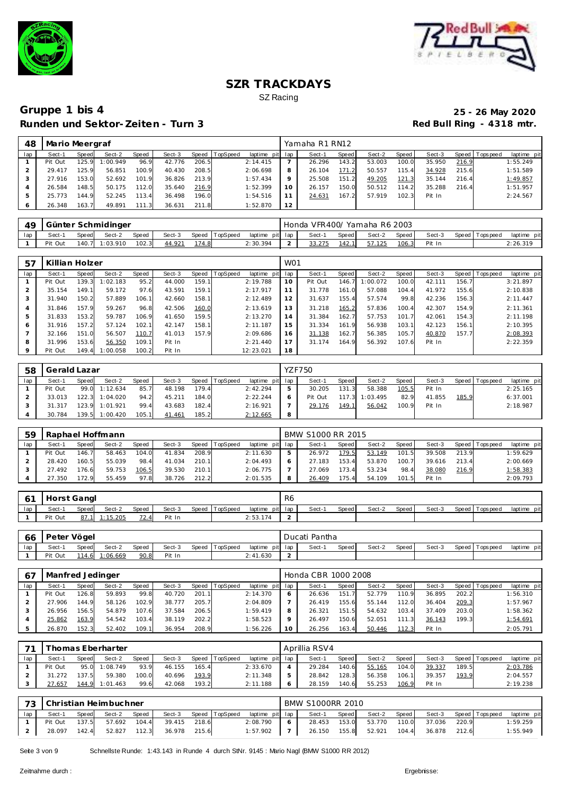



### **Gruppe 1 bis 4 25 - 26 May 2020 Runden und Sektor-Zeiten - Turn 3**

| 48  | Mario Meergraf |       |          |       |        |       |                |                 |    | Yamaha R1 RN12 |       |        |       |        |       |                 |             |
|-----|----------------|-------|----------|-------|--------|-------|----------------|-----------------|----|----------------|-------|--------|-------|--------|-------|-----------------|-------------|
| lap | Sect-1         | Speed | Sect-2   | Speed | Sect-3 |       | Speed TopSpeed | laptime pit lap |    | Sect-1         | Speed | Sect-2 | Speed | Sect-3 |       | Speed Tops peed | laptime pit |
|     | Pit Out        | 125.9 | 1:00.949 | 96.9  | 42.776 | 206.5 |                | 2:14.415        |    | 26.296         | 143.2 | 53.003 | 100.0 | 35.950 | 216.9 |                 | 1:55.249    |
|     | 29.417         | 125.9 | 56.851   | 100.9 | 40.430 | 208.5 |                | 2:06.698        | 8  | 26.104         | 171.2 | 50.557 | 115.4 | 34.928 | 215.6 |                 | 1:51.589    |
|     | 27.916         | 153.0 | 52.692   | 101.9 | 36.826 | 213.9 |                | 1:57.434        |    | 25.508         | 151.2 | 49.205 | 121.3 | 35.144 | 216.4 |                 | 1:49.857    |
|     | 26.584         | 148.5 | 50.175   | 112.0 | 35.640 | 216.9 |                | 1:52.399        | 10 | 26.157         | 150.0 | 50.512 | 114.2 | 35.288 | 216.4 |                 | 1:51.957    |
|     | 25.773         | 144.9 | 52.245   | 113.4 | 36.498 | 196.0 |                | 1:54.516        |    | 24.631         | 167.2 | 57.919 | 102.3 | Pit In |       |                 | 2:24.567    |
|     | 26.348         | 163.7 | 49.891   | 111.3 | 36.631 | 211.8 |                | 1:52.870        | 12 |                |       |        |       |        |       |                 |             |

| 49  |         |       | Günter Schmidinger |       |        |       |                |                 | Honda VFR400/ Yamaha R6 2003 |       |        |       |        |                   |             |
|-----|---------|-------|--------------------|-------|--------|-------|----------------|-----------------|------------------------------|-------|--------|-------|--------|-------------------|-------------|
| lap | Sect-1  | Speed | Sect-2             | Speed | Sect-3 |       | Speed TopSpeed | laptime pit lap | Sect-                        | Speed | Sect-2 | Speed | Sect-3 | Speed   Tops peed | laptime pit |
|     | Pit Out |       | 140.7 1:03.910     | 102.3 | 44.921 | 174.8 |                | 2:30.394        | 33.275                       | 142.1 | 57.125 | 106.3 | Pit In |                   | 2:26.319    |

| 57             | Killian Holzer |       |          |       |        |       |          |                 | W <sub>01</sub> |         |       |          |       |        |       |                |             |
|----------------|----------------|-------|----------|-------|--------|-------|----------|-----------------|-----------------|---------|-------|----------|-------|--------|-------|----------------|-------------|
| lap            | Sect-1         | Speed | Sect-2   | Speed | Sect-3 | Speed | TopSpeed | laptime pit lap |                 | Sect-1  | Speed | Sect-2   | Speed | Sect-3 |       | Speed Topspeed | laptime pit |
|                | Pit Out        | 139.3 | 1:02.183 | 95.2  | 44.000 | 159.1 |          | 2:19.788        | 10              | Pit Out | 146.7 | 1:00.072 | 100.0 | 42.111 | 156.7 |                | 3:21.897    |
|                | 35.154         | 149.1 | 59.172   | 97.6  | 43.591 | 159.1 |          | 2:17.917        | 11              | 31.778  | 161.0 | 57.088   | 104.4 | 41.972 | 155.6 |                | 2:10.838    |
| 3              | 31.940         | 150.2 | 57.889   | 106.1 | 42.660 | 158.1 |          | 2:12.489        | 12              | 31.637  | 155.4 | 57.574   | 99.8  | 42.236 | 156.3 |                | 2:11.447    |
| $\overline{4}$ | 31.846         | 157.9 | 59.267   | 96.8  | 42.506 | 160.0 |          | 2:13.619        | 13              | 31.218  | 165.2 | 57.836   | 100.4 | 42.307 | 154.9 |                | 2:11.361    |
| 5              | 31.833         | 153.2 | 59.787   | 106.9 | 41.650 | 159.5 |          | 2:13.270        | 14              | 31.384  | 162.7 | 57.753   | 101.7 | 42.061 | 154.3 |                | 2:11.198    |
| 6              | 31.916         | 157.2 | 57.124   | 102.1 | 42.147 | 158.1 |          | 2:11.187        | 15              | 31.334  | 161.9 | 56.938   | 103.1 | 42.123 | 156.1 |                | 2:10.395    |
|                | 32.166         | 151.0 | 56.507   | 110.7 | 41.013 | 157.9 |          | 2:09.686        | 16              | 31.138  | 162.7 | 56.385   | 105.7 | 40.870 | 157.7 |                | 2:08.393    |
| 8              | 31.996         | 153.6 | 56.350   | 109.1 | Pit In |       |          | 2:21.440        | 17              | 31.174  | 164.9 | 56.392   | 107.6 | Pit In |       |                | 2:22.359    |
| $\circ$        | Pit Out        | 149.4 | 1:00.058 | 100.2 | Pit In |       |          | 12:23.021       | 18              |         |       |          |       |        |       |                |             |

| 58  | Gerald Lazar |       |               |       |        |       |                |                 |     | <b>YZF750</b> |       |          |       |        |       |                 |             |
|-----|--------------|-------|---------------|-------|--------|-------|----------------|-----------------|-----|---------------|-------|----------|-------|--------|-------|-----------------|-------------|
| lap | Sect-1       | Speed | Sect-2        | Speed | Sect-3 |       | Speed TopSpeed | laptime pit lap |     | Sect-1        | Speed | Sect-2   | Speed | Sect-3 |       | Speed Tops peed | laptime pit |
|     | Pit Out      |       | 99.0 1:12.634 | 85.7  | 48.198 | 179.4 |                | 2:42.294        |     | 30.205        | 131.3 | 58.388   | 105.5 | Pit In |       |                 | 2:25.165    |
|     | 33.013       | 122.3 | 1:04.020      | 94.2  | 45.211 | 184.0 |                | 2:22.244        |     | Pit Out       | 117.3 | 1:03.495 | 82.9  | 41.855 | 185.9 |                 | 6:37.001    |
|     | 31.317       | 123.9 | 1:01.921      | 99.4  | 43.683 | 182.4 |                | 2:16.921        |     | 29.176        | 149.1 | 56.042   | 100.9 | Pit In |       |                 | 2:18.987    |
|     | 30.784       | 139.5 | 1:00.420      | 105.1 | 41.461 | 185.2 |                | 2:12.665        | - 8 |               |       |          |       |        |       |                 |             |

| 59  |         | Raphael Hoffmann<br>Speed  <br>Sect-2<br>Sect-3<br>TopSpeed<br><b>Speed</b><br>Speed<br>104.0<br>208.9<br>146.7<br>41.834<br>58.463<br>160.5<br>55.039<br>210.1<br>98.4<br>41.034 |        |       |        |       |  |                 |   | BMW S1000 RR 2015 |              |        |       |        |       |                 |             |
|-----|---------|-----------------------------------------------------------------------------------------------------------------------------------------------------------------------------------|--------|-------|--------|-------|--|-----------------|---|-------------------|--------------|--------|-------|--------|-------|-----------------|-------------|
| lap | Sect-1  |                                                                                                                                                                                   |        |       |        |       |  | laptime pit lap |   | Sect-1            | <b>Speed</b> | Sect-2 | Speed | Sect-3 |       | Speed Tops peed | laptime pit |
|     | Pit Out |                                                                                                                                                                                   |        |       |        |       |  | 2:11.630        | ь | 26.972            | 179.5        | 53.149 | 101.5 | 39.508 | 213.9 |                 | 1:59.629    |
|     | 28.420  |                                                                                                                                                                                   |        |       |        |       |  | 2:04.493        |   | 27.183            | 153.4        | 53.870 | 100.7 | 39.616 | 213.4 |                 | 2:00.669    |
|     | 27.492  | 176.6                                                                                                                                                                             | 59.753 | 106.5 | 39.530 | 210.1 |  | 2:06.775        |   | 27.069            | 173.4        | 53.234 | 98.4  | 38.080 | 216.9 |                 | 1:58.383    |
|     | 27.350  | 172.9                                                                                                                                                                             | 55.459 | 97.8  | 38.726 | 212.2 |  | 2:01.535        | 8 | 26.409            | 175.4        | 54.109 | 101.5 | Pit In |       |                 | 2:09.793    |

| $\prime$ 1 |         | Horst Gangl  |          |       |        |       |          |                 | R6 |        |       |        |       |        |                 |                |
|------------|---------|--------------|----------|-------|--------|-------|----------|-----------------|----|--------|-------|--------|-------|--------|-----------------|----------------|
| lap        | Sect-   | <b>Speed</b> | Sect-2   | Speed | Sect-3 | Speed | TopSpeed | laptime pit lap |    | Sect-1 | Speed | Sect-2 | Speed | Sect-3 | Speed Tops peed | pit<br>laptime |
|            | Pit Out | 87.7         | 1:15.205 | 72.4  | Pit In |       |          | 2:53.174        |    |        |       |        |       |        |                 |                |

| -66 | Peter Vögel |       |          |       |        |                |                 | Ducati Pantha |       |        |       |        |                 |             |
|-----|-------------|-------|----------|-------|--------|----------------|-----------------|---------------|-------|--------|-------|--------|-----------------|-------------|
| lap | Sect-1      | Speed | Sect-2   | Speed | Sect-3 | Speed TopSpeed | laptime pit lap | Sect-         | Speed | Sect-2 | Speed | Sect-3 | Speed Tops peed | laptime pit |
|     | Pit Out     | 114.6 | 1:06.669 | 90.8  | Pit In |                | 2:41.630        |               |       |        |       |        |                 |             |

|     | Manfred Jedinger |              |        |       |        |       |          |                 |         | Honda CBR 1000 2008 |       |        |       |        |       |                |             |
|-----|------------------|--------------|--------|-------|--------|-------|----------|-----------------|---------|---------------------|-------|--------|-------|--------|-------|----------------|-------------|
| lap | Sect-1           | <b>Speed</b> | Sect-2 | Speed | Sect-3 | Speed | TopSpeed | laptime pit lap |         | Sect-1              | Speed | Sect-2 | Speed | Sect-3 |       | Speed Topspeed | laptime pit |
|     | Pit Out          | 126.8        | 59.893 | 99.8  | 40.720 | 201.1 |          | 2:14.370        | O       | 26.636              | 151.  | 52.779 | 110.9 | 36.895 | 202.2 |                | 1:56.310    |
|     | 27.906           | 144.9        | 58.126 | 102.9 | 38.777 | 205.7 |          | 2:04.809        |         | 26.419              | 155.6 | 55.144 | 112.0 | 36.404 | 209.3 |                | 1:57.967    |
|     | 26.956           | 156.5        | 54.879 | 107.6 | 37.584 | 206.5 |          | 1:59.419        | 8       | 26.321              | 151.5 | 54.632 | 103.4 | 37.409 | 203.0 |                | 1:58.362    |
|     | 25.862           | 163.9        | 54.542 | 103.4 | 38.119 | 202.2 |          | 1:58.523        | $\circ$ | 26.497              | 150.6 | 52.051 | 111.3 | 36.143 | 199.3 |                | 1:54.691    |
|     | 26.870           | 152.3        | 52.402 | 109.1 | 36.954 | 208.9 |          | 1:56.226        | 10      | 26.256              | 163.4 | 50.446 | 112.3 | Pit In |       |                | 2:05.791    |

| $\overline{\phantom{a}}$ |         |       | homas Eberharter |              |        |       |                |             |     | Aprillia RSV4 |       |        |       |        |       |                 |             |
|--------------------------|---------|-------|------------------|--------------|--------|-------|----------------|-------------|-----|---------------|-------|--------|-------|--------|-------|-----------------|-------------|
| lap                      | Sect-1  | Speed | Sect-2           | <b>Speed</b> | Sect-3 |       | Speed TopSpeed | laptime pit | lap | Sect-1        | Speed | Sect-2 | Speed | Sect-3 |       | Speed Tops peed | laptime pit |
|                          | Pit Out | 95.0  | 1:08.749         | 93.9         | 46.155 | 165.4 |                | 2:33.670    |     | 29.284        | 140.6 | 55.165 | 104.0 | 39.337 | 189.5 |                 | 2:03.786    |
|                          | 31.272  | 137.5 | 59.380           | 100.0        | 40.696 | 193.9 |                | 2:11.348    | ь   | 28.842        | 128.3 | 56.358 | 106.1 | 39.357 | 193.9 |                 | 2:04.557    |
|                          | 27.657  | 44.9  | 1:01.463         | 99.6         | 42.068 | 193.2 |                | 2:11.188    | O   | 28.159        | 140.6 | 55.253 | 106.9 | Pit In |       |                 | 2:19.238    |

| $\overline{\phantom{a}}$ |         |       | Christian Heimbuchner |       |        |       |                |                 | <b>BMW S1000RR 2010</b> |         |        |       |        |       |                   |             |
|--------------------------|---------|-------|-----------------------|-------|--------|-------|----------------|-----------------|-------------------------|---------|--------|-------|--------|-------|-------------------|-------------|
|                          | Sect-1  | Speed | Sect-2                | Speed | Sect-3 |       | Speed TopSpeed | laptime pit lap | Sect-1                  | Speed I | Sect-2 | Speed | Sect-3 |       | Speed   Tops peed | laptime pit |
|                          | Pit Out | 137.5 | 57.692                | 104.4 | 39.415 | 218.6 |                | 2:08.790        | 28.453                  | 153.0   | 53.770 | 110.0 | 37.036 | 220.9 |                   | 1:59.259    |
|                          | 28.097  | 142.4 | 52.827                | 112.3 | 36.978 | 215.6 |                | 1:57.902        | 26.150                  | 155.8   | 52.921 | 104.4 | 36.878 | 212.6 |                   | 1:55.949    |

Seite 3 von 9 Schnellste Runde: 1:43.143 in Runde 4 durch StNr. 9145 : Mario Nagl (BMW S1000 RR 2012)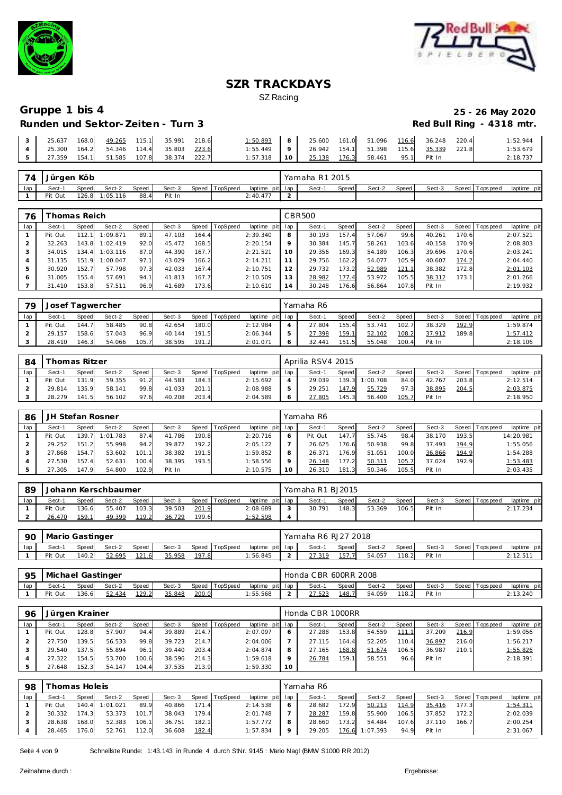



## **Runden und Sektor-Zeiten - Turn 3**

# **Gruppe 1 bis 4 25 - 26 May 2020**

|  |  |                                                  |  | $1:50.893$ 8 25.600 161.0 51.096 116.6 36.248 220.4       |  |  |  | 1:52.944 |
|--|--|--------------------------------------------------|--|-----------------------------------------------------------|--|--|--|----------|
|  |  | $\vert$ 4 25.300 164.2 54.346 114.4 35.803 223.6 |  | $1:55.449$   9   26.942 154.1   51.398 115.6 35.339 221.8 |  |  |  | 1:53.679 |
|  |  |                                                  |  | 1:57.318 10 25.138 176.3 58.461 95.1 Pit In               |  |  |  | 2:18.737 |

| 74  | Jürgen Köb |              |          |       |        |                |                 | Yamaha R1 2015 |       |        |       |        |                   |             |
|-----|------------|--------------|----------|-------|--------|----------------|-----------------|----------------|-------|--------|-------|--------|-------------------|-------------|
| lap | Sect-1     | <b>Speed</b> | Sect-2   | Speed | Sect-3 | Speed TopSpeed | laptime pit lap | Sect-1         | Speed | Sect-2 | Speed | Sect-3 | Speed   Tops peed | laptime pit |
|     | Pit Out    | 126.8        | 1:05.116 | 88.4  | Pit In |                | 2:40.477        |                |       |        |       |        |                   |             |

| 76  |         | 'homas Reich' |          |       |        |       |                 |             |     | CBR500 |       |        |       |        |       |                 |             |
|-----|---------|---------------|----------|-------|--------|-------|-----------------|-------------|-----|--------|-------|--------|-------|--------|-------|-----------------|-------------|
| lap | Sect-1  | Speed         | Sect-2   | Speed | Sect-3 | Speed | <b>TopSpeed</b> | laptime pit | lap | Sect-1 | Speed | Sect-2 | Speed | Sect-3 |       | Speed Tops peed | laptime pit |
|     | Pit Out | 112.1         | 1:09.871 | 89.   | 47.103 | 164.4 |                 | 2:39.340    | 8   | 30.193 | 157.4 | 57.067 | 99.6  | 40.261 | 170.6 |                 | 2:07.521    |
|     | 32.263  | 143.8         | 1:02.419 | 92.0  | 45.472 | 168.5 |                 | 2:20.154    | 9   | 30.384 | 145.7 | 58.261 | 103.6 | 40.158 | 170.9 |                 | 2:08.803    |
|     | 34.015  | 134.4         | 1:03.116 | 87.0  | 44.390 | 167.7 |                 | 2:21.521    | 10  | 29.356 | 169.3 | 54.189 | 106.3 | 39.696 | 170.6 |                 | 2:03.241    |
|     | 31.135  | 151.9         | 1:00.047 | 97.1  | 43.029 | 166.2 |                 | 2:14.211    | 11  | 29.756 | 162.2 | 54.077 | 105.9 | 40.607 | 174.2 |                 | 2:04.440    |
| 5   | 30.920  | 152.7         | 57.798   | 97.3  | 42.033 | 167.4 |                 | 2:10.751    | 12  | 29.732 | 173.2 | 52.989 | 121.1 | 38.382 | 172.8 |                 | 2:01.103    |
|     | 31.005  | 155.4         | 57.691   | 94.   | 41.813 | 167.7 |                 | 2:10.509    | 13  | 28.982 | 177.4 | 53.972 | 105.5 | 38.312 | 173.1 |                 | 2:01.266    |
|     | 31.410  | 153.8         | 57.511   | 96.9  | 41.689 | 173.6 |                 | 2:10.610    | 14  | 30.248 | 176.6 | 56.864 | 107.8 | Pit In |       |                 | 2:19.932    |

| 79  | Josef Tagwercher |       |        |       |        |       |                |                 |   | Yamaha R6 |       |        |       |        |       |                |             |
|-----|------------------|-------|--------|-------|--------|-------|----------------|-----------------|---|-----------|-------|--------|-------|--------|-------|----------------|-------------|
| lap | Sect-1           | Speed | Sect-2 | Speed | Sect-3 |       | Speed TopSpeed | laptime pit lap |   | Sect-1    | Speed | Sect-2 | Speed | Sect-3 |       | Speed Topspeed | laptime pit |
|     | Pit Out          | 144.7 | 58.485 | 90.8  | 42.654 | 180.0 |                | 2:12.984        |   | 27.804    | 155.4 | 53.741 | 102.7 | 38.329 | 192.9 |                | 1:59.874    |
|     | 29.157           | 158.6 | 57.043 | 96.9  | 40.144 | 191.5 |                | 2:06.344        |   | 27.398    | 159.1 | 52.102 | 108.2 | 37.912 | 189.8 |                | 1:57.412    |
|     | 28.410           | 146.3 | 54.066 | 105.7 | 38.595 | 191.2 |                | 2:01.071        | O | 32.441    | 151.5 | 55.048 | 100.4 | Pit In |       |                | 2:18.106    |

| 84  |         | homas Ritzer |        |              |        |       |                |                 | Aprilia RSV4 2015 |         |          |         |        |       |                 |             |
|-----|---------|--------------|--------|--------------|--------|-------|----------------|-----------------|-------------------|---------|----------|---------|--------|-------|-----------------|-------------|
| lap | Sect-1  | Speed        | Sect-2 | <b>Speed</b> | Sect-3 |       | Speed TopSpeed | laptime pit lap | Sect-1            | Speed I | Sect-2   | Speed I | Sect-3 |       | Speed Tops peed | laptime pit |
|     | Pit Out | 131.9        | 59.355 | 91.2         | 44.583 | 184.3 |                | 2:15.692        | 29.039            | 139.3   | 1:00.708 | 84.0    | 42.767 | 203.8 |                 | 2:12.514    |
|     | 29.814  | 135.9        | 58.141 | 99.8         | 41.033 | 201.1 |                | 2:08.988        | 29.251            | 147.9   | 55.729   | 97.3    | 38.895 | 204.5 |                 | 2:03.875    |
|     | 28.279  | 141.5        | 56.102 | 97.6         | 40.208 | 203.4 |                | 2:04.589        | 27.805            | 145.3   | 56.400   | 105.7   | Pit In |       |                 | 2:18.950    |

| 86  | JH Stefan Rosner |       |          |       |        |       |                 |             |     | Yamaha R6 |       |        |       |        |       |            |             |
|-----|------------------|-------|----------|-------|--------|-------|-----------------|-------------|-----|-----------|-------|--------|-------|--------|-------|------------|-------------|
| lap | Sect-1           | Speed | Sect-2   | Speed | Sect-3 | Speed | <b>TopSpeed</b> | laptime pit | lap | Sect-1    | Speed | Sect-2 | Speed | Sect-3 | Speed | Tops pee d | laptime pit |
|     | Pit Out          | 139.7 | 1:01.783 | 87.4  | 41.786 | 190.8 |                 | 2:20.716    |     | Pit Out   | 147.7 | 55.745 | 98.4  | 38.170 | 193.5 |            | 14:20.981   |
|     | 29.252           | 151.2 | 55.998   | 94.2  | 39.872 | 192.2 |                 | 2:05.122    |     | 26.625    | 176.6 | 50.938 | 99.8  | 37.493 | 194.9 |            | 1:55.056    |
|     | 27.868           | 154.7 | 53.602   | 101.1 | 38.382 | 191.5 |                 | 1:59.852    |     | 26.371    | 176.9 | 51.051 | 100.0 | 36.866 | 194.9 |            | 1:54.288    |
|     | 27.530           | 157.4 | 52.631   | 100.4 | 38.395 | 193.5 |                 | 1:58.556    |     | 26.148    | 177.2 | 50.311 | 105.7 | 37.024 | 192.9 |            | 1:53.483    |
|     | 27.305           | 147.9 | 54.800   | 102.9 | Pit In |       |                 | 2:10.575    |     | 26.310    | 181.3 | 50.346 | 105.5 | Pit In |       |            | 2:03.435    |

| 89 |         |       | Johann Kerschbaumer |       |        |       |          |                 | Yamaha R1 BJ2015 |       |        |       |        |                |             |
|----|---------|-------|---------------------|-------|--------|-------|----------|-----------------|------------------|-------|--------|-------|--------|----------------|-------------|
|    | Sect-1  | Speed | Sect-2              | Speed | Sect-3 | Speed | TopSpeed | laptime pit lap | Sect-1           | Speed | Sect-2 | Speed | Sect-3 | Speed Topspeed | laptime pit |
|    | Pit Out | 136.6 | 55.407              | 103.3 | 39.503 | 201.9 |          | 2:08.689        | 30.791           | 148.5 | 53.369 | 106.5 | Pit In |                | 2:17.234    |
|    | 26.470  | 159.1 | 49.399              | 119.2 | 36.729 | 199.6 |          | 1:52.598        |                  |       |        |       |        |                |             |

| 90  | Mario Gastinger |              |        |       |        |       |                |          |         | Yamaha R6 RJ27 2018 |       |        |       |        |                 |                |
|-----|-----------------|--------------|--------|-------|--------|-------|----------------|----------|---------|---------------------|-------|--------|-------|--------|-----------------|----------------|
| lap | Sect-1          | <b>Speed</b> | Sect-2 | Speed | Sect-3 |       | Speed TopSpeed | laptime  | pit lap | Sect-               | Speed | Sect-2 | Speed | Sect-3 | Speed Tops peed | pit<br>laptime |
|     | Pit Out         | 140.2        | 52.695 | 121.6 | 35.958 | 197.8 |                | 1:56.845 | -       | 21C                 | 157.7 | 54.057 | 118.2 | Pit In |                 | 2:12.51        |

| 95  | Michael Gastinger |       |        |              |        |       |                |                 | Honda C BR 600RR 2008 |       |        |       |        |                   |                |
|-----|-------------------|-------|--------|--------------|--------|-------|----------------|-----------------|-----------------------|-------|--------|-------|--------|-------------------|----------------|
| lap | Sect-1            | Speed | Sect-2 | <b>Speed</b> | Sect-3 |       | Speed TopSpeed | laptime pit lap | Sect-1                | Speed | Sect-2 | Speed | Sect-3 | Speed   Tops peed | pit<br>laptime |
|     | Pit Out           | 136.6 | 52.434 | 129.2        | 35.848 | 200.0 |                | 1:55.568        | 27.523                | 148.7 | 54.059 | 118.2 | Pit In |                   | 2:13.240       |

| 96  | Jürgen Krainer |              |        |       |        |       |                |                 |    | Honda CBR 1000RR |       |        |       |        |       |                |             |
|-----|----------------|--------------|--------|-------|--------|-------|----------------|-----------------|----|------------------|-------|--------|-------|--------|-------|----------------|-------------|
| lap | Sect-1         | <b>Speed</b> | Sect-2 | Speed | Sect-3 |       | Speed TopSpeed | laptime pit lap |    | Sect-1           | Speed | Sect-2 | Speed | Sect-3 |       | Speed Topspeed | laptime pit |
|     | Pit Out        | 128.8        | 57.907 | 94.4  | 39.889 | 214.7 |                | 2:07.097        |    | 27.288           | 153.8 | 54.559 | 111.1 | 37.209 | 216.9 |                | 1:59.056    |
|     | 27.750         | 139.5        | 56.533 | 99.8  | 39.723 | 214.7 |                | 2:04.006        |    | 27.115           | 164.4 | 52.205 | 110.4 | 36.897 | 216.0 |                | 1:56.217    |
|     | 29.540         | 137.5        | 55.894 | 96.1  | 39.440 | 203.4 |                | 2:04.874        |    | 27.165           | 168.8 | 51.674 | 106.5 | 36.987 | 210.1 |                | 1:55.826    |
|     | 27.322         | 154.5        | 53.700 | 100.6 | 38.596 | 214.3 |                | 1:59.618        |    | 26.784           | 159.1 | 58.551 | 96.6  | Pit In |       |                | 2:18.391    |
|     | 27.648         | 152.3        | 54.147 | 104.4 | 37.535 | 213.9 |                | 1:59.330        | 10 |                  |       |        |       |        |       |                |             |

| 98  | Thomas Holeis |       |                |       |        |       |                |                 |             | Yamaha R6 |       |                |       |        |       |                   |             |
|-----|---------------|-------|----------------|-------|--------|-------|----------------|-----------------|-------------|-----------|-------|----------------|-------|--------|-------|-------------------|-------------|
| lap | Sect-1        | Speed | Sect-2         | Speed | Sect-3 |       | Speed TopSpeed | laptime pit lap |             | Sect-1    | Speed | Sect-2         | Speed | Sect-3 |       | Speed   Tops peed | laptime pit |
|     | Pit Out       |       | 140.4 1:01.021 | 89.9  | 40.866 | 171.4 |                | 2:14.538        | -6          | 28.682    | 172.9 | 50.213         | 114.9 | 35.416 | 177.3 |                   | 1:54.311    |
|     | 30.332        | 174.3 | 53.373         | 101.7 | 38.043 | 179.4 |                | 2:01.748        |             | 28.287    | 159.8 | 55.900         | 106.5 | 37.852 | 172.2 |                   | 2:02.039    |
|     | 28.638        | 168.0 | 52.383         | 106.1 | 36.751 | 182.1 |                | 1:57.772        | -8          | 28.660    | 173.2 | 54.484         | 107.6 | 37.110 | 166.7 |                   | 2:00.254    |
|     | 28.465        | 176.0 | 52.761         | 112.0 | 36.608 | 182.4 |                | 1:57.834        | $\mathsf Q$ | 29.205    |       | 176.6 1:07.393 | 94.9  | Pit In |       |                   | 2:31.067    |

Seite 4 von 9 Schnellste Runde: 1:43.143 in Runde 4 durch StNr. 9145 : Mario Nagl (BMW S1000 RR 2012)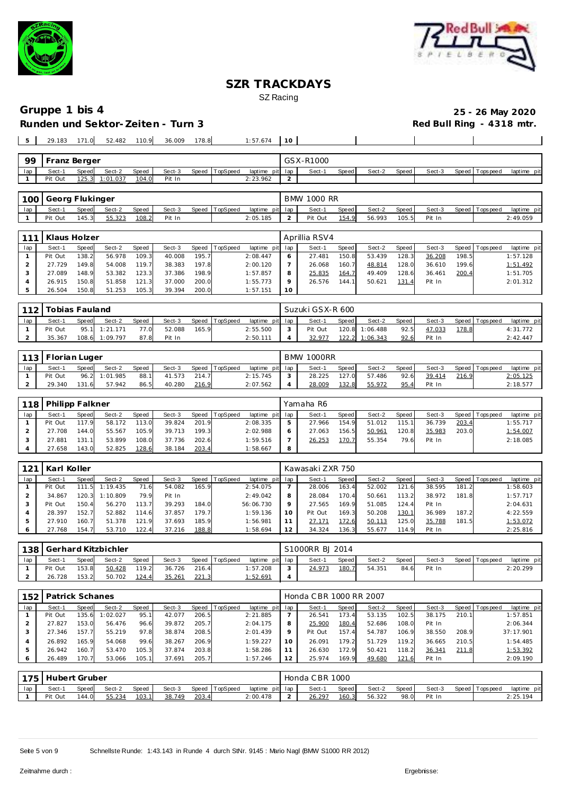



|     | 29.183       | 171.0 | 52.482         | 110.9 | 36.009 | 178.8 |                | 1:57.674        | 10 |           |       |        |       |        |                   |             |
|-----|--------------|-------|----------------|-------|--------|-------|----------------|-----------------|----|-----------|-------|--------|-------|--------|-------------------|-------------|
|     |              |       |                |       |        |       |                |                 |    |           |       |        |       |        |                   |             |
| 99  | Franz Berger |       |                |       |        |       |                |                 |    | GSX-R1000 |       |        |       |        |                   |             |
| lap | Sect-1       | Speed | Sect-2         | Speed | Sect-3 |       | Speed TopSpeed | laptime pit lap |    | Sect-1    | Speed | Sect-2 | Speed | Sect-3 | Speed   Tops peed | laptime pit |
|     | Pit Out      |       | 125.3 1:01.037 | 104.0 | Pit In |       |                | 2:23.962        |    |           |       |        |       |        |                   |             |

|     | 100 Georg Flukinger |       |        |       |        |       |          |                 | BMW 1000 RR |       |        |       |        |                 |             |
|-----|---------------------|-------|--------|-------|--------|-------|----------|-----------------|-------------|-------|--------|-------|--------|-----------------|-------------|
| lap | Sect-1              | Speed | Sect-2 | Speed | Sect-3 | Speed | TopSpeed | laptime pit lap | Sect-1      | Speed | Sect-2 | Speed | Sect-3 | Speed Tops peed | laptime pit |
|     | Pit Out             | 145.3 | 55.323 | 108.2 | Pit In |       |          | 2:05.185        | Pit Out     | 154.9 | 56.993 | 105.5 | Pit In |                 | 2:49.059    |

|     | Klaus Holzer |       |        |       |        |       |          |             |         | Aprillia RSV4 |              |        |       |        |       |                   |             |
|-----|--------------|-------|--------|-------|--------|-------|----------|-------------|---------|---------------|--------------|--------|-------|--------|-------|-------------------|-------------|
| lap | Sect-1       | Speed | Sect-2 | Speed | Sect-3 | Speed | TopSpeed | laptime pit | lap     | Sect-1        | <b>Speed</b> | Sect-2 | Speed | Sect-3 | Speed | <b>T</b> ops peed | laptime pit |
|     | Pit Out      | 138.2 | 56.978 | 109.3 | 40.008 | 195.7 |          | 2:08.447    |         | 27.481        | 150.8        | 53.439 | 128.3 | 36.208 | 198.5 |                   | 1:57.128    |
|     | 27.729       | 149.8 | 54.008 | 119.7 | 38.383 | 197.8 |          | 2:00.120    |         | 26.068        | 160.7        | 48.814 | 128.0 | 36.610 | 199.6 |                   | 1:51.492    |
|     | 27.089       | 148.9 | 53.382 | 123.3 | 37.386 | 198.9 |          | 1:57.857    | 8       | 25.835        | 164.7        | 49.409 | 128.6 | 36.461 | 200.4 |                   | 1:51.705    |
|     | 26.915       | 150.8 | 51.858 | 121.3 | 37.000 | 200.0 |          | 1:55.773    | $\circ$ | 26.576        | 144.1        | 50.621 | 131.4 | Pit In |       |                   | 2:01.312    |
|     | 26.504       | 150.8 | 51.253 | 105.3 | 39.394 | 200.0 |          | 1:57.151    | 10      |               |              |        |       |        |       |                   |             |

| 110 | Tobias Fauland |       |          |       |        |       |                |                 | Suzuki GSX-R 600 |       |                |       |        |       |                |             |
|-----|----------------|-------|----------|-------|--------|-------|----------------|-----------------|------------------|-------|----------------|-------|--------|-------|----------------|-------------|
| lap | Sect-1         | Speed | Sect-2   | Speed | Sect-3 |       | Speed TopSpeed | laptime pit lap | Sect-1           | Speed | Sect-2         | Speed | Sect-3 |       | Speed Topspeed | laptime pit |
|     | Pit Out        | 95.1  | 1:21.171 | 77.0  | 52.088 | 165.9 |                | 2:55.500        | Pit Out          |       | 120.8 1:06.488 | 92.5  | 47.033 | 178.8 |                | 4:31.772    |
|     | 35.367         | 108.6 | 1:09.797 | 87.8  | Pit In |       |                | 2:50.111        | 32.977           | 122.2 | 1:06.343       | 92.6  | Pit In |       |                | 2:42.447    |

|     | 113   Florian Luger |       |               |       |        |       |                |                 |        | <b>BMW 1000RR</b> |       |        |         |        |       |                 |             |
|-----|---------------------|-------|---------------|-------|--------|-------|----------------|-----------------|--------|-------------------|-------|--------|---------|--------|-------|-----------------|-------------|
| lap | Sect-1              | Speed | Sect-2        | Speed | Sect-3 |       | Speed TopSpeed | laptime pit lap |        | Sect-1            | Speed | Sect-2 | Speed I | Sect-3 |       | Speed Tops peed | laptime pit |
|     | Pit Out             |       | 96.2 1:01.985 | 88.1  | 41.573 | 214.7 |                | 2:15.745        | $\sim$ | 28.225            | 127.0 | 57.486 | 92.6    | 39.414 | 216.9 |                 | 2:05.125    |
|     | 29.340              | 131.6 | 57.942        | 86.5  | 40.280 | 216.9 |                | 2:07.562        |        | 28.009            | 132.8 | 55.972 | 95.4    | Pit In |       |                 | 2:18.577    |

| 118 | <b>Philipp Falkner</b> |       |        |       |        |       |                |                 |    | Yamaha R6 |       |        |       |        |       |                 |             |
|-----|------------------------|-------|--------|-------|--------|-------|----------------|-----------------|----|-----------|-------|--------|-------|--------|-------|-----------------|-------------|
| lap | Sect-1                 | Speed | Sect-2 | Speed | Sect-3 |       | Speed TopSpeed | laptime pit lap |    | Sect-1    | Speed | Sect-2 | Speed | Sect-3 |       | Speed Tops peed | laptime pit |
|     | Pit Out                | 117.9 | 58.172 | 113.0 | 39.824 | 201.9 |                | 2:08.335        | 5  | 27.966    | 154.9 | 51.012 | 115.1 | 36.739 | 203.4 |                 | 1:55.717    |
|     | 27.708                 | 144.0 | 55.567 | 105.9 | 39.713 | 199.3 |                | 2:02.988        | 6  | 27.063    | 156.5 | 50.961 | 120.8 | 35.983 | 203.0 |                 | 1:54.007    |
|     | 27.881                 | 131.1 | 53.899 | 108.0 | 37.736 | 202.6 |                | 1:59.516        |    | 26.253    | 170.7 | 55.354 | 79.6  | Pit In |       |                 | 2:18.085    |
|     | 27.658                 | 143.0 | 52.825 | 128.6 | 38.184 | 203.4 |                | 1:58.667        | -8 |           |       |        |       |        |       |                 |             |

| 121 | Karl Koller |       |          |       |        |       |                |                 |         | Kawasaki ZXR 750 |         |        |       |        |       |                 |             |
|-----|-------------|-------|----------|-------|--------|-------|----------------|-----------------|---------|------------------|---------|--------|-------|--------|-------|-----------------|-------------|
| lap | Sect-1      | Speed | Sect-2   | Speed | Sect-3 |       | Speed TopSpeed | laptime pit lap |         | Sect-1           | Speed I | Sect-2 | Speed | Sect-3 |       | Speed Tops peed | laptime pit |
|     | Pit Out     | 111.5 | 1:19.435 | 71.6  | 54.082 | 165.9 |                | 2:54.075        |         | 28.006           | 163.4   | 52.002 | 121.6 | 38.595 | 181.2 |                 | 1:58.603    |
|     | 34.867      | 120.3 | 1:10.809 | 79.9  | Pit In |       |                | 2:49.042        | 8       | 28.084           | 170.4   | 50.661 | 113.2 | 38.972 | 181.8 |                 | 1:57.717    |
|     | Pit Out     | 150.4 | 56.270   | 113.7 | 39.293 | 184.0 |                | 56:06.730       | $\circ$ | 27.565           | 169.9   | 51.085 | 124.4 | Pit In |       |                 | 2:04.631    |
|     | 28.397      | 152.7 | 52.882   | 114.6 | 37.857 | 179.7 |                | 1:59.136        | 10      | Pit Out          | 169.3   | 50.208 | 130.1 | 36.989 | 187.2 |                 | 4:22.559    |
|     | 27.910      | 160.7 | 51.378   | 121.9 | 37.693 | 185.9 |                | 1:56.981        |         | 27.171           | 172.6   | 50.113 | 125.0 | 35.788 | 181.5 |                 | 1:53.072    |
| O   | 27.768      | 154.7 | 53.710   | 122.4 | 37.216 | 188.8 |                | 1:58.694        | 12      | 34.324           | 136.3   | 55.677 | 114.9 | Pit In |       |                 | 2:25.816    |

|     | 138   Gerhard Kitzbichler |              |        |       |        |       |                |                 |            | S1000RR BJ 2014 |       |        |       |        |                 |             |
|-----|---------------------------|--------------|--------|-------|--------|-------|----------------|-----------------|------------|-----------------|-------|--------|-------|--------|-----------------|-------------|
| lap | Sect-1                    | <b>Speed</b> | Sect-2 | Speed | Sect-3 |       | Speed TopSpeed | laptime pit lap |            | Sect-1          | Speed | Sect-2 | Speed | Sect-3 | Speed Tops peed | laptime pit |
|     | Pit Out                   | 153.8        | 50.428 | 119.2 | 36.726 | 216.4 |                | 1:57.208        | $\sqrt{2}$ | 24.973          | 180.7 | 54.351 | 84.6  | Pit In |                 | 2:20.299    |
|     | 26.728                    | 153.2        | 50.702 | 124.4 | 35.261 | 221.3 |                | <u>1:52.691</u> |            |                 |       |        |       |        |                 |             |

| 152     | <b>Patrick Schanes</b> |       |          |       |        |       |          |                 |         | Honda CBR 1000 RR 2007 |       |        |       |        |       |                 |             |
|---------|------------------------|-------|----------|-------|--------|-------|----------|-----------------|---------|------------------------|-------|--------|-------|--------|-------|-----------------|-------------|
| lap     | Sect-1                 | Speed | Sect-2   | Speed | Sect-3 | Speed | TopSpeed | laptime pit lap |         | Sect-1                 | Speed | Sect-2 | Speed | Sect-3 |       | Speed Tops peed | laptime pit |
|         | Pit Out                | 135.6 | : 02.027 | 95.1  | 42.077 | 206.5 |          | 2:21.885        |         | 26.541                 | 173.4 | 53.135 | 102.5 | 38.175 | 210.1 |                 | 1:57.851    |
|         | 27.827                 | 153.0 | 56.476   | 96.6  | 39.872 | 205.7 |          | 2:04.175        | 8       | 25.900                 | 180.4 | 52.686 | 108.0 | Pit In |       |                 | 2:06.344    |
| 3       | 27.346                 | 157.7 | 55.219   | 97.8  | 38.874 | 208.5 |          | 2:01.439        | $\circ$ | Pit Out                | 157.4 | 54.787 | 106.9 | 38.550 | 208.9 |                 | 37:17.901   |
| 4       | 26.892                 | 165.9 | 54.068   | 99.6  | 38.267 | 206.9 |          | 1:59.227        | 10      | 26.091                 | 179.2 | 51.729 | 119.2 | 36.665 | 210.5 |                 | 1:54.485    |
| ь       | 26.942                 | 160.7 | 53.470   | 105.3 | 37.874 | 203.8 |          | 1:58.286        |         | 26.630                 | 172.9 | 50.421 | 118.2 | 36.341 | 211.8 |                 | 1:53.392    |
| $\circ$ | 26.489                 | 170.7 | 53.066   | 105.1 | 37.691 | 205.7 |          | 1:57.246        | 12      | 25.974                 | 169.9 | 49.680 | 121.6 | Pit In |       |                 | 2:09.190    |
|         |                        |       |          |       |        |       |          |                 |         |                        |       |        |       |        |       |                 |             |

| 175 | Hubert Gruber |       |        |              |        |       |                |          |         | Honda CBR 1000 |       |        |       |        |         |            |             |
|-----|---------------|-------|--------|--------------|--------|-------|----------------|----------|---------|----------------|-------|--------|-------|--------|---------|------------|-------------|
| lap | Sect-         | Speed | Sect-2 | <b>Speed</b> | Sect-3 |       | Speed TopSpeed | laptime  | pit lap | Sect-1         | Speed | Sect-2 | Speed | Sect-3 | Speed T | Tops pee d | laptime pit |
|     | Pit<br>Out    | 144.0 | 55.234 | 103.1        | 38.749 | 203.4 |                | 2:00.478 |         | 26.297         | 160.3 | 56.322 | 98.0  | Pit In |         |            | 2:25.194    |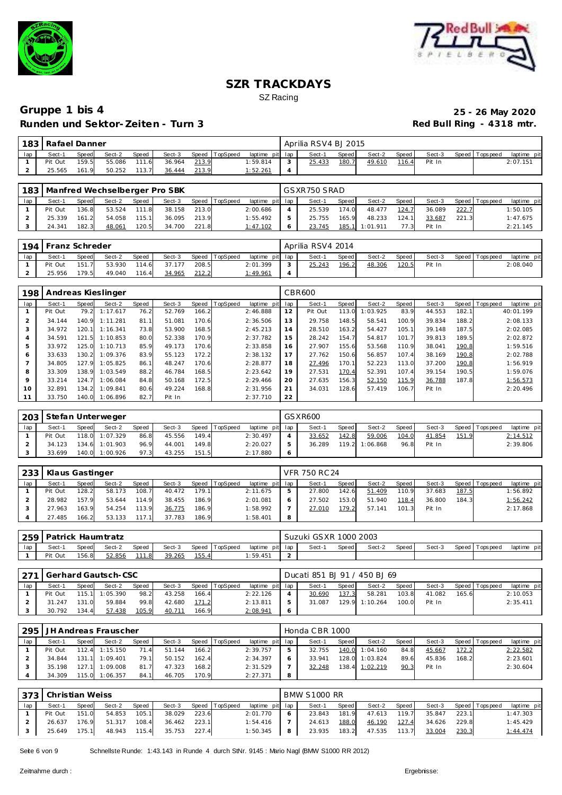



| 183 | Rafael Danner |              |        |            |        |       |          |                 | Aprilia RSV4 BJ 2015 |       |        |       |        |                 |             |
|-----|---------------|--------------|--------|------------|--------|-------|----------|-----------------|----------------------|-------|--------|-------|--------|-----------------|-------------|
| lap | Sect-1        | <b>Speed</b> | Sect-2 | Speed      | Sect-3 | Speed | TopSpeed | laptime pit lap | Sect-1               | Speed | Sect-2 | Speed | Sect-3 | Speed Tops peed | laptime pit |
|     | Pit Out       | 159.5        | 55.086 | 111<br>1.6 | 36.964 | 213.9 |          | 1:59.814        | 25.433               | 180.7 | 49.610 | 116.4 | Pit In |                 | 2:07.151    |
|     | 25.565        | 161.9        | 50.252 | 113.7      | 36.444 | 213.9 |          | 1:52.261        |                      |       |        |       |        |                 |             |

|     | 183   Manfred Wechselberger Pro SBK |              |        |       |        |       |                |                 | GSXR750 SRAD |       |                |       |        |       |                |             |
|-----|-------------------------------------|--------------|--------|-------|--------|-------|----------------|-----------------|--------------|-------|----------------|-------|--------|-------|----------------|-------------|
| lap | Sect-1                              | <b>Speed</b> | Sect-2 | Speed | Sect-3 |       | Speed TopSpeed | laptime pit lap | Sect-1       | Speed | Sect-2         | Speed | Sect-3 |       | Speed Topspeed | laptime pit |
|     | Pit Out                             | 136.8        | 53.524 | 111.8 | 38.158 | 213.0 |                | 2:00.686        | 25.539       | 174.0 | 48.477         | 124.7 | 36.089 | 222.7 |                | 1:50.105    |
|     | 25.339                              | 161.2        | 54.058 | 115.1 | 36.095 | 213.9 |                | 1:55.492        | 25.755       | 165.9 | 48.233         | 124.1 | 33.687 | 221.3 |                | 1:47.675    |
|     | 24.341                              | 182.3        | 48.061 | 120.5 | 34.700 | 221.8 |                | 1:47.102        | 23.745       |       | 185.1 1:01.911 | 77.3  | Pit In |       |                | 2:21.145    |

|     | 194 Franz Schreder |              |        |       |        |       |                |                 |        | Aprilia RSV4 2014 |       |        |       |        |                 |             |
|-----|--------------------|--------------|--------|-------|--------|-------|----------------|-----------------|--------|-------------------|-------|--------|-------|--------|-----------------|-------------|
| lap | Sect-1             | <b>Speed</b> | Sect-2 | Speed | Sect-3 |       | Speed TopSpeed | laptime pit lap |        | Sect-1            | Speed | Sect-2 | Speed | Sect-3 | Speed Tops peed | laptime pit |
|     | Pit Out            | 151.7        | 53.930 | 114.6 | 37.177 | 208.5 |                | 2:01.399        | $\sim$ | 25.243            | 196.2 | 48.306 | 120.5 | Pit In |                 | 2:08.040    |
|     | 25.956             | 179.5        | 49.040 | 116.4 | 34.965 | 212.2 |                | 1:49.961        |        |                   |       |        |       |        |                 |             |

| 198            |         |       | Andreas Kieslinger |              |        |       |          |             |     | CBR600  |       |          |       |        |       |                                  |
|----------------|---------|-------|--------------------|--------------|--------|-------|----------|-------------|-----|---------|-------|----------|-------|--------|-------|----------------------------------|
| lap            | Sect-1  | Speed | Sect-2             | <b>Speed</b> | Sect-3 | Speed | TopSpeed | laptime pit | lap | Sect-1  | Speed | Sect-2   | Speed | Sect-3 |       | Speed   Tops peed<br>laptime pit |
|                | Pit Out | 79.2  | 1:17.617           | 76.2         | 52.769 | 166.2 |          | 2:46.888    | 12  | Pit Out | 113.0 | 1:03.925 | 83.9  | 44.553 | 182.1 | 40:01.199                        |
| $\overline{2}$ | 34.144  | 140.9 | 1:11.281           | 81.1         | 51.081 | 170.6 |          | 2:36.506    | 13  | 29.758  | 148.5 | 58.541   | 100.9 | 39.834 | 188.2 | 2:08.133                         |
| 3              | 34.972  | 120.1 | 1:16.341           | 73.8         | 53.900 | 168.5 |          | 2:45.213    | 14  | 28.510  | 163.2 | 54.427   | 105.1 | 39.148 | 187.5 | 2:02.085                         |
| $\overline{4}$ | 34.591  | 121.5 | 1:10.853           | 80.0         | 52.338 | 170.9 |          | 2:37.782    | 15  | 28.242  | 154.7 | 54.817   | 101.7 | 39.813 | 189.5 | 2:02.872                         |
| 5              | 33.972  | 125.0 | 1:10.713           | 85.9         | 49.173 | 170.6 |          | 2:33.858    | 16  | 27.907  | 155.6 | 53.568   | 110.9 | 38.041 | 190.8 | 1:59.516                         |
| 6              | 33.633  | 130.2 | 1:09.376           | 83.9         | 55.123 | 172.2 |          | 2:38.132    | 17  | 27.762  | 150.6 | 56.857   | 107.4 | 38.169 | 190.8 | 2:02.788                         |
|                | 34.805  | 127.9 | 1:05.825           | 86.1         | 48.247 | 170.6 |          | 2:28.877    | 18  | 27.496  | 170.1 | 52.223   | 113.0 | 37.200 | 190.8 | 1:56.919                         |
| 8              | 33.309  | 138.9 | 1:03.549           | 88.2         | 46.784 | 168.5 |          | 2:23.642    | 19  | 27.531  | 170.4 | 52.391   | 107.4 | 39.154 | 190.5 | 1:59.076                         |
| $\circ$        | 33.214  | 124.7 | 1:06.084           | 84.8         | 50.168 | 172.5 |          | 2:29.466    | 20  | 27.635  | 156.3 | 52.150   | 115.9 | 36.788 | 187.8 | 1:56.573                         |
| 10             | 32.891  | 134.2 | 1:09.841           | 80.6         | 49.224 | 168.8 |          | 2:31.956    | 21  | 34.031  | 128.6 | 57.419   | 106.7 | Pit In |       | 2:20.496                         |
| 11             | 33.750  | 140.0 | 1:06.896           | 82.7         | Pit In |       |          | 2:37.710    | 22  |         |       |          |       |        |       |                                  |

|     | 203   Stefan Unterweger |       |                |       |        |       |          |                 |                | GSXR600 |       |          |       |        |       |                 |             |
|-----|-------------------------|-------|----------------|-------|--------|-------|----------|-----------------|----------------|---------|-------|----------|-------|--------|-------|-----------------|-------------|
| lap | Sect-1                  | Speed | Sect-2         | Speed | Sect-3 | Speed | TopSpeed | laptime pit lap |                | Sect-1  | Speed | Sect-2   | Speed | Sect-3 |       | Speed Tops peed | laptime pit |
|     | Pit Out                 |       | 118.0 1:07.329 | 86.8  | 45.556 | 149.4 |          | 2:30.497        |                | 33.652  | 142.8 | 59.006   | 104.0 | 41.854 | 151.9 |                 | 2:14.512    |
|     | 34.123                  |       | 134.6 1:01.903 | 96.9  | 44.001 | 149.8 |          | 2:20.027        | b              | 36.289  | 119.2 | 1:06.868 | 96.8  | Pit In |       |                 | 2:39.806    |
|     | 33.699                  | 140.0 | 1:00.926       | 97.3  | 43.255 | 151.5 |          | 2:17.880        | $\ddot{\circ}$ |         |       |          |       |        |       |                 |             |

| 233 | Klaus Gastinger |       |        |       |        |       |          |                 |   | <b>VFR 750 RC 24</b> |       |        |       |        |       |                 |             |
|-----|-----------------|-------|--------|-------|--------|-------|----------|-----------------|---|----------------------|-------|--------|-------|--------|-------|-----------------|-------------|
| lap | Sect-1          | Speed | Sect-2 | Speed | Sect-3 | Speed | TopSpeed | laptime pit lap |   | Sect-1               | Speed | Sect-2 | Speed | Sect-3 |       | Speed Tops peed | laptime pit |
|     | Pit Out         | 128.2 | 58.173 | 108.7 | 40.472 | 179.1 |          | 2:11.675        |   | 27.800               | 142.6 | 51.409 | 110.9 | 37.683 | 187.5 |                 | 1:56.892    |
|     | 28.982          | 157.9 | 53.644 | 114.9 | 38.455 | 186.9 |          | 2:01.081        |   | 27.502               | 153.0 | 51.940 | 118.4 | 36.800 | 184.3 |                 | 1:56.242    |
|     | 27.963          | 163.9 | 54.254 | 113.9 | 36.775 | 186.9 |          | 1:58.992        |   | 27.010               | 179.2 | 57.141 | 101.3 | Pit In |       |                 | 2:17.868    |
|     | 27.485          | 166.2 | 53.133 | 117.1 | 37.783 | 186.9 |          | 1:58.401        | 8 |                      |       |        |       |        |       |                 |             |

|     | ∪259   Patrick Haumtratz |              |        |       |        |       |                |                 | Suzuki GSXR 1000 2003 |       |        |       |        |                   |                |
|-----|--------------------------|--------------|--------|-------|--------|-------|----------------|-----------------|-----------------------|-------|--------|-------|--------|-------------------|----------------|
| lap | Sect-1                   | <b>Speed</b> | Sect-2 | Speed | Sect-3 |       | Speed TopSpeed | laptime pit lap | Sect-                 | Speed | Sect-2 | Speed | Sect-3 | Speed   Tops peed | pit<br>laptime |
|     | Pit Out                  | 156.8        | 52.856 | 111.8 | 39.265 | 155.4 |                | 1:59.451        |                       |       |        |       |        |                   |                |

|     | 271   Gerhard Gautsch-CSC |       |                |       |        |       |                |                 | Ducati 851 BJ 91 / 450 BJ 69 |         |                |         |        |       |                   |             |
|-----|---------------------------|-------|----------------|-------|--------|-------|----------------|-----------------|------------------------------|---------|----------------|---------|--------|-------|-------------------|-------------|
| lap | Sect-1                    | Speed | Sect-2         | Speed | Sect-3 |       | Speed TopSpeed | laptime pit lap | Sect-1                       | Speed I | Sect-2         | Speed I | Sect-3 |       | Speed   Tops peed | laptime pit |
|     | Pit Out                   |       | 115.1 1:05.390 | 98.2  | 43.258 | 166.4 |                | 2:22.126        | 30.690                       | 137.3   | 58.281         | 103.8   | 41.082 | 165.6 |                   | 2:10.053    |
|     | 31.247                    | 131.0 | 59.884         | 99.8  | 42.680 | 171.2 |                | 2:13.811        | 31.087                       |         | 129.9 1:10.264 | 100.0   | Pit In |       |                   | 2:35.411    |
|     | 30.792                    | 134.4 | 57.438         | 105.9 | 40.711 | 166.9 |                | 2:08.941        |                              |         |                |         |        |       |                   |             |

| 295 |         |       | JH Andreas Frauscher |       |        |       |          |                 | Honda CBR 1000 |       |          |       |        |       |                 |             |
|-----|---------|-------|----------------------|-------|--------|-------|----------|-----------------|----------------|-------|----------|-------|--------|-------|-----------------|-------------|
| lap | Sect-1  | Speed | Sect-2               | Speed | Sect-3 | Speed | TopSpeed | laptime pit lap | Sect-1         | Speed | Sect-2   | Speed | Sect-3 |       | Speed Tops peed | laptime pit |
|     | Pit Out |       | 112.4 1:15.150       | 71.4  | 51.144 | 166.2 |          | 2:39.757        | 32.755         | 140.0 | 1:04.160 | 84.8  | 45.667 | 172.2 |                 | 2:22.582    |
|     | 34.844  |       | $131.1$ $1:09.401$   | 79.1  | 50.152 | 162.4 |          | 2:34.397        | 33.941         | 128.0 | 1:03.824 | 89.6  | 45.836 | 168.2 |                 | 2:23.601    |
|     | 35.198  | 127.1 | 1:09.008             | 81.7  | 47.323 | 168.2 |          | 2:31.529        | 32.248         | 138.4 | 1:02.219 | 90.3  | Pit In |       |                 | 2:30.604    |
|     | 34.309  |       | 115.0 1:06.357       | 84.1  | 46.705 | 170.9 |          | 2: 27.371       |                |       |          |       |        |       |                 |             |

|     | I 373   Christian Weiss |       |        |       |        |       |                |                 |   | <b>BMW S1000 RR</b> |       |        |       |        |       |                |             |
|-----|-------------------------|-------|--------|-------|--------|-------|----------------|-----------------|---|---------------------|-------|--------|-------|--------|-------|----------------|-------------|
| lap | Sect-1                  | Speed | Sect-2 | Speed | Sect-3 |       | Speed TopSpeed | laptime pit lap |   | Sect-1              | Speed | Sect-2 | Speed | Sect-3 |       | Speed Topspeed | laptime pit |
|     | Pit Out                 | 151.0 | 54.853 | 105.1 | 38.029 | 223.6 |                | 2:01.770        |   | 23.843              | 181.9 | 47.613 | 119.7 | 35.847 | 223.1 |                | 1:47.303    |
|     | 26.637                  | 176.9 | 51.317 | 108.4 | 36.462 | 223.1 |                | 1:54.416        |   | 24.613              | 188.0 | 46.190 | 127.4 | 34.626 | 229.8 |                | 1:45.429    |
|     | 25.649                  | 175.1 | 48.943 | 115.4 | 35.753 | 227.4 |                | 1:50.345        | 8 | 23.935              | 183.2 | 47.535 | 113.7 | 33.004 | 230.3 |                | 1:44.474    |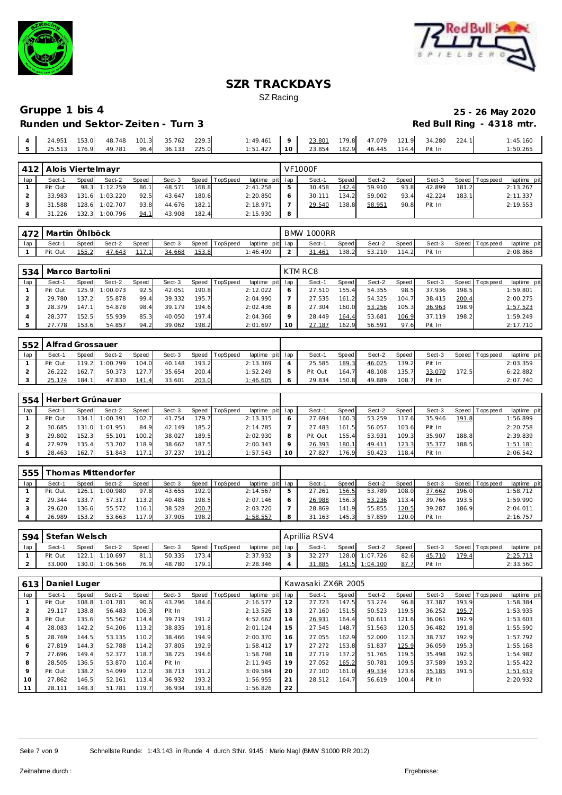



| 24.951 | 153.0 | 48.748 | 101.3 | 35.762 | 229.3 | : 49.461 |          | 23.801 | 179.8 | 47.079 | 121.9 | 34.280 | 224.1 | : 45.160 |
|--------|-------|--------|-------|--------|-------|----------|----------|--------|-------|--------|-------|--------|-------|----------|
| 25.513 | 176.9 | 49.781 | 96.4  | 36.133 | 225.0 | 1:51.427 | $10^{-}$ | 23.854 | 182.9 | 46.445 | 114.4 | Pit In |       | :50.265  |

|     | 412   Alois Viertelmayr |       |                |       |        |       |          |                 |   | <b>VF1000F</b> |       |        |       |        |       |                 |             |
|-----|-------------------------|-------|----------------|-------|--------|-------|----------|-----------------|---|----------------|-------|--------|-------|--------|-------|-----------------|-------------|
| lap | Sect-1                  | Speed | Sect-2         | Speed | Sect-3 | Speed | TopSpeed | laptime pit lap |   | Sect-1         | Speed | Sect-2 | Speed | Sect-3 |       | Speed Tops peed | laptime pit |
|     | Pit Out                 |       | 98.3 1:12.759  | 86.1  | 48.571 | 168.8 |          | 2:41.258        | 5 | 30.458         | 142.4 | 59.910 | 93.8  | 42.899 | 181.2 |                 | 2:13.267    |
|     | 33.983                  | 131.6 | 1:03.220       | 92.5  | 43.647 | 180.6 |          | 2:20.850        |   | 30.111         | 134.2 | 59.002 | 93.4  | 42.224 | 183.1 |                 | 2:11.337    |
|     | 31.588                  | 128.6 | 1:02.707       | 93.8  | 44.676 | 182.1 |          | 2:18.971        |   | 29.540         | 138.8 | 58.951 | 90.8  | Pit In |       |                 | 2:19.553    |
|     | 31.226                  |       | 132.3 1:00.796 | 94.1  | 43.908 | 182.4 |          | 2:15.930        | 8 |                |       |        |       |        |       |                 |             |

|     | 472   Martin Öhlböck |       |        |       |        |       |                 |                 | BMW | 1000RR |       |        |        |        |                   |             |
|-----|----------------------|-------|--------|-------|--------|-------|-----------------|-----------------|-----|--------|-------|--------|--------|--------|-------------------|-------------|
| lap | Sect-1               | Speed | Sect-2 | Speed | Sect-3 | Speed | <b>TopSpeed</b> | laptime pit lap |     | Sect-1 | Speed | Sect-2 | Speed. | Sect-3 | Speed   Tops peed | laptime pit |
|     | Pit Out              | 155.2 | 47.643 |       | 34.668 | 153.8 |                 | : 46.499        |     | 31.461 | 138.2 | 53.210 | 114.2  | Pit In |                   | 2:08.868    |

| 534 | Marco Bartolini |       |          |       |        |       |          |          |         | KTM RC8 |       |        |       |        |       |                |             |
|-----|-----------------|-------|----------|-------|--------|-------|----------|----------|---------|---------|-------|--------|-------|--------|-------|----------------|-------------|
| lap | Sect-1          | Speed | Sect-2   | Speed | Sect-3 | Speed | TopSpeed | laptime  | pit lap | Sect-1  | Speed | Sect-2 | Speed | Sect-3 |       | Speed Topspeed | laptime pit |
|     | Pit Out         | 125.9 | 1:00.073 | 92.5  | 42.051 | 190.8 |          | 2:12.022 | O       | 27.510  | 155.4 | 54.355 | 98.5  | 37.936 | 198.5 |                | 1:59.801    |
|     | 29.780          | 137.2 | 55.878   | 99.4  | 39.332 | 195.7 |          | 2:04.990 |         | 27.535  | 161.2 | 54.325 | 104.7 | 38.415 | 200.4 |                | 2:00.275    |
|     | 28.379          | 147.1 | 54.878   | 98.4  | 39.179 | 194.6 |          | 2:02.436 | 8       | 27.304  | 160.0 | 53.256 | 105.3 | 36.963 | 198.9 |                | 1:57.523    |
|     | 28.377          | 152.5 | 55.939   | 85.3  | 40.050 | 197.4 |          | 2:04.366 | $\circ$ | 28.449  | 164.4 | 53.681 | 106.9 | 37.119 | 198.2 |                | 1:59.249    |
|     | 27.778          | 153.6 | 54.857   | 94.2  | 39.062 | 198.2 |          | 2:01.697 | 10      | 27.187  | 162.9 | 56.591 | 97.6  | Pit In |       |                | 2:17.710    |

|     | 552   Alfrad Grossauer |              |          |       |        |       |                |                 |         |         |       |        |       |        |       |                 |             |
|-----|------------------------|--------------|----------|-------|--------|-------|----------------|-----------------|---------|---------|-------|--------|-------|--------|-------|-----------------|-------------|
| lap | Sect-1                 | <b>Speed</b> | Sect-2   | Speed | Sect-3 |       | Speed TopSpeed | laptime pit lap |         | Sect-1  | Speed | Sect-2 | Speed | Sect-3 |       | Speed Tops peed | laptime pit |
|     | Pit Out                | 119.2        | 1:00.799 | 104.0 | 40.148 | 193.2 |                | 2:13.369        |         | 25.585  | 189.3 | 46.025 | 139.2 | Pit In |       |                 | 2:03.359    |
|     | 26.222                 | 162.7        | 50.373   | 127.7 | 35.654 | 200.4 |                | 1:52.249        |         | Pit Out | 164.7 | 48.108 | 135.7 | 33.070 | 172.5 |                 | 6:22.882    |
|     | 174                    | 184.1        | 47.830   | 141.4 | 33.601 | 203.0 |                | 1:46.605        | $\circ$ | 29.834  | 150.8 | 49.889 | 108.7 | Pit In |       |                 | 2:07.740    |

| 554 | Herbert Grünauer |       |          |       |        |       |                |                 |    |         |               |        |           |        |       |                 |             |
|-----|------------------|-------|----------|-------|--------|-------|----------------|-----------------|----|---------|---------------|--------|-----------|--------|-------|-----------------|-------------|
| lap | Sect-′           | Speed | Sect-2   | Speed | Sect-3 |       | Speed TopSpeed | laptime pit lap |    | Sect-1  | <b>Speed</b>  | Sect-2 | Speed     | Sect-3 |       | Speed Tops peed | laptime pit |
|     | Pit Out          | 134.  | 1:00.391 | 102.7 | 41.754 | 179.7 |                | 2:13.315        | O  | 27.694  | 160.3         | 53.259 | 117<br>66 | 35.946 | 191.8 |                 | 1:56.899    |
|     | 30.685           | 131.0 | 1:01.951 | 84.9  | 42.149 | 185.2 |                | 2:14.785        |    | 27.483  | 161.5         | 56.057 | 103.6     | Pit In |       |                 | 2:20.758    |
|     | 29.802           | 152.3 | 55.101   | 100.2 | 38.027 | 189.5 |                | 2:02.930        | 8  | Pit Out | 155.4         | 53.931 | 109.3     | 35.907 | 188.8 |                 | 2:39.839    |
|     | 27.979           | 135.4 | 53.702   | 118.9 | 38.662 | 187.5 |                | 2:00.343        | Q  | 26.393  | <u> 180.1</u> | 49.411 | 123.3     | 35.377 | 188.5 |                 | 1:51.181    |
|     | 28.463           | 162.7 | 51.843   | 117.1 | 37.237 | 191.2 |                | 1:57.543        | 10 | 27.827  | 176.9         | 50.423 | 118.4     | Pit In |       |                 | 2:06.542    |

| 555 |         |              | Thomas Mittendorfer |              |        |       |                 |                 |        |       |        |       |        |       |                |             |
|-----|---------|--------------|---------------------|--------------|--------|-------|-----------------|-----------------|--------|-------|--------|-------|--------|-------|----------------|-------------|
| lap | Sect-1  | <b>Speed</b> | Sect-2              | <b>Speed</b> | Sect-3 | Speed | <b>TopSpeed</b> | laptime pit lap | Sect-1 | Speed | Sect-2 | Speed | Sect-3 |       | Speed Topspeed | laptime pit |
|     | Pit Out | 126.1        | 1:00.980            | 97.8         | 43.655 | 192.9 |                 | 2:14.567        | 27.261 | 156.5 | 53.789 | 108.0 | 37.662 | 196.0 |                | 1:58.712    |
|     | 29.344  | 133.7        | 57.317              | 113.2        | 40.485 | 198.5 |                 | 2:07.146        | 26.988 | 156.3 | 53.236 | 113.4 | 39.766 | 193.5 |                | 1:59.990    |
|     | 29.620  | 136.6        | 55.572              | 116.1        | 38.528 | 200.7 |                 | 2:03.720        | 28.869 | 141.9 | 55.855 | 120.5 | 39.287 | 186.9 |                | 2:04.011    |
|     | 26.989  | 153.2        | 53.663              | 117.9        | 37.905 | 198.2 |                 | : 58.557        | 31.163 | 145.3 | 57.859 | 20.0  | Pit In |       |                | 2:16.757    |

| 594 | Stefan Welsch |                                                                                |                |      |        |       |  |          |        | Aprillia RSV4 |       |                |       |        |       |                   |                  |
|-----|---------------|--------------------------------------------------------------------------------|----------------|------|--------|-------|--|----------|--------|---------------|-------|----------------|-------|--------|-------|-------------------|------------------|
| lap | Sect-1        | Speed TopSpeed<br>Sect-3<br>laptime pit lap<br>Speed<br><b>Speed</b><br>Sect-2 |                |      |        |       |  |          |        | Sect-1        | Speed | Sect-2         | Speed | Sect-3 |       | Speed   Tops peed | laptime pit      |
|     | Pit Out       |                                                                                | 122.1 1:10.697 | 81.1 | 50.335 | 173.4 |  | 2:37.932 | $\sim$ | 32.277        |       | 128.0 1:07.726 | 82.6  | 45.710 | 179.4 |                   | <u> 2:25.713</u> |
|     | 33.000        | 130.0                                                                          | 1:06.566       | 76.9 | 48.780 | 179.1 |  | 2:28.346 |        | 31.885        |       | 141.5 1:04.100 | 87.7  | Pit In |       |                   | 2:33.560         |

| 613            | Daniel Luger |       |          |       |        |       |                |             |     | Kawasaki ZX6R 2005 |       |        |       |        |       |                |             |
|----------------|--------------|-------|----------|-------|--------|-------|----------------|-------------|-----|--------------------|-------|--------|-------|--------|-------|----------------|-------------|
| lap            | Sect-1       | Speed | Sect-2   | Speed | Sect-3 |       | Speed TopSpeed | laptime pit | lap | Sect-1             | Speed | Sect-2 | Speed | Sect-3 |       | Speed Topspeed | laptime pit |
|                | Pit Out      | 108.8 | 1:01.781 | 90.6  | 43.296 | 184.6 |                | 2:16.577    | 12  | 27.723             | 147.5 | 53.274 | 96.8  | 37.387 | 193.9 |                | 1:58.384    |
| $\overline{2}$ | 29.117       | 138.8 | 56.483   | 106.3 | Pit In |       |                | 2:13.526    | 13  | 27.160             | 151.5 | 50.523 | 119.5 | 36.252 | 195.7 |                | 1:53.935    |
| 3              | Pit Out      | 135.6 | 55.562   | 114.4 | 39.719 | 191.2 |                | 4:52.662    | 14  | 26.931             | 164.4 | 50.611 | 121.6 | 36.061 | 192.9 |                | 1:53.603    |
| $\overline{4}$ | 28.083       | 142.2 | 54.206   | 113.2 | 38.835 | 191.8 |                | 2:01.124    | 15  | 27.545             | 148.7 | 51.563 | 120.5 | 36.482 | 191.8 |                | 1:55.590    |
| 5              | 28.769       | 144.5 | 53.135   | 110.2 | 38.466 | 194.9 |                | 2:00.370    | 16  | 27.055             | 162.9 | 52.000 | 112.3 | 38.737 | 192.9 |                | 1:57.792    |
| 6              | 27.819       | 144.3 | 52.788   | 114.2 | 37.805 | 192.9 |                | 1:58.412    | 17  | 27.272             | 153.8 | 51.837 | 125.9 | 36.059 | 195.3 |                | 1:55.168    |
|                | 27.696       | 149.4 | 52.377   | 118.7 | 38.725 | 194.6 |                | 1:58.798    | 18  | 27.719             | 137.2 | 51.765 | 119.5 | 35.498 | 192.5 |                | 1:54.982    |
| 8              | 28.505       | 136.5 | 53.870   | 110.4 | Pit In |       |                | 2:11.945    | 19  | 27.052             | 165.2 | 50.781 | 109.5 | 37.589 | 193.2 |                | 1:55.422    |
| 9              | Pit Out      | 138.2 | 54.099   | 112.0 | 38.713 | 191.2 |                | 3:09.584    | 20  | 27.100             | 161.0 | 49.334 | 123.6 | 35.185 | 191.5 |                | 1:51.619    |
| 10             | 27.862       | 146.5 | 52.161   | 113.4 | 36.932 | 193.2 |                | 1:56.955    | 21  | 28.512             | 164.7 | 56.619 | 100.4 | Pit In |       |                | 2:20.932    |
|                | 28.111       | 148.3 | 51.781   | 119.7 | 36.934 | 191.8 |                | 1:56.826    | 22  |                    |       |        |       |        |       |                |             |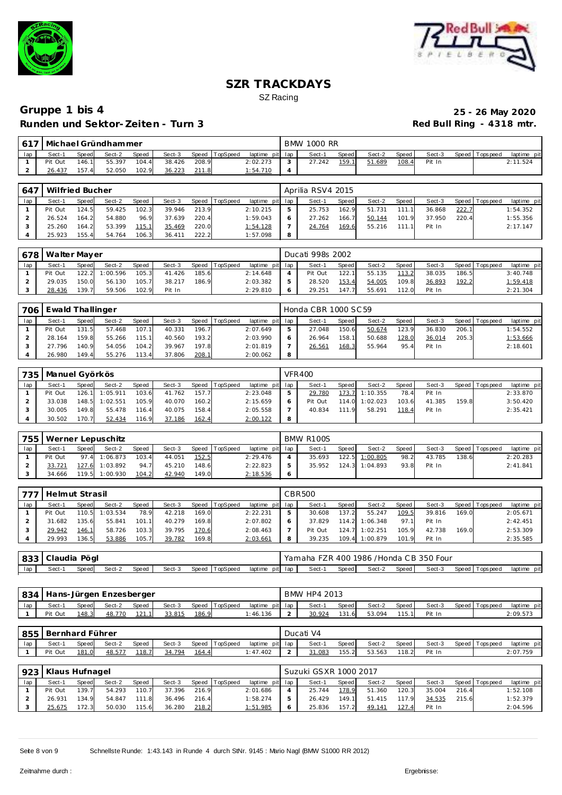



| $161^7$ |         |       | Michael Gründhammer |       |        |       |                |                 | <b>BMW 1000 RR</b> |       |        |       |        |                 |             |
|---------|---------|-------|---------------------|-------|--------|-------|----------------|-----------------|--------------------|-------|--------|-------|--------|-----------------|-------------|
| lap     | Sect-1  | Speed | Sect-2              | Speed | Sect-3 |       | Speed TopSpeed | laptime pit lap | Sect-1             | Speed | Sect-2 | Speed | Sect-3 | Speed Tops peed | laptime pit |
|         | Pit Out | 146.1 | 55.397              | 104.4 | 38.426 | 208.9 |                | 2:02.273        | 27.242             | 159.1 | 51.689 | 108.4 | Pit In |                 | 2:11.524    |
|         | 26.437  | 157.4 | 52.050              | 102.9 | 36.223 |       |                | 1:54.710        |                    |       |        |       |        |                 |             |

| 647 | Wilfried Bucher |       |        |       |        |       |                |                 | Aprilia RSV4 2015 |       |        |       |        |       |                 |             |
|-----|-----------------|-------|--------|-------|--------|-------|----------------|-----------------|-------------------|-------|--------|-------|--------|-------|-----------------|-------------|
| lap | Sect-1          | Speed | Sect-2 | Speed | Sect-3 |       | Speed TopSpeed | laptime pit lap | Sect-1            | Speed | Sect-2 | Speed | Sect-3 |       | Speed Tops peed | laptime pit |
|     | Pit Out         | 124.5 | 59.425 | 102.3 | 39.946 | 213.9 |                | 2:10.215        | 25.753            | 162.9 | 51.731 | 111.1 | 36.868 | 222.7 |                 | 1:54.352    |
|     | 26.524          | 164.2 | 54.880 | 96.9  | 37.639 | 220.4 |                | 1:59.043        | 27.262            | 166.7 | 50.144 | 101.9 | 37.950 | 220.4 |                 | 1:55.356    |
|     | 25.260          | 164.2 | 53.399 | 115.1 | 35.469 | 220.0 |                | 1:54.128        | 24.764            | 169.6 | 55.216 | 111.1 | Pit In |       |                 | 2:17.147    |
|     | 25.923          | 155.4 | 54.764 | 106.3 | 36.411 | 222.2 |                | 1:57.098        |                   |       |        |       |        |       |                 |             |

|     | 678   Walter Mayer |       |          |       |        |       |                |                 | Ducati 998s 2002 |       |        |       |        |       |                |             |
|-----|--------------------|-------|----------|-------|--------|-------|----------------|-----------------|------------------|-------|--------|-------|--------|-------|----------------|-------------|
| lap | Sect-1             | Speed | Sect-2   | Speed | Sect-3 |       | Speed TopSpeed | laptime pit lap | Sect-1           | Speed | Sect-2 | Speed | Sect-3 |       | Speed Topspeed | laptime pit |
|     | Pit Out            | 1222  | 1:00.596 | 105.3 | 41.426 | 185.6 |                | 2:14.648        | Pit Out          | 122.1 | 55.135 | 113.2 | 38.035 | 186.5 |                | 3:40.748    |
|     | 29.035             | 150.0 | 56.130   | 105.7 | 38.217 | 186.9 |                | 2:03.382        | 28.520           | 153.4 | 54.005 | 109.8 | 36.893 | 192.2 |                | 1:59.418    |
|     | 28.436             | 139.7 | 59.506   | 102.9 | Pit In |       |                | 2:29.810        | 29.251           | 147.7 | 55.691 | 112.0 | Pit In |       |                | 2:21.304    |

| 706 | Ewald Thallinger |       |        |       |        |       |          |                 |   | Honda CBR 1000 SC 59 |       |        |         |        |       |                 |             |
|-----|------------------|-------|--------|-------|--------|-------|----------|-----------------|---|----------------------|-------|--------|---------|--------|-------|-----------------|-------------|
| lap | Sect-1           | Speed | Sect-2 | Speed | Sect-3 | Speed | TopSpeed | laptime pit lap |   | Sect-1               | Speed | Sect-2 | Speed I | Sect-3 |       | Speed Tops peed | laptime pit |
|     | Pit Out          | 131.5 | 57.468 | 107.1 | 40.331 | 196.7 |          | 2:07.649        |   | 27.048               | 150.6 | 50.674 | 123.9   | 36.830 | 206.1 |                 | 1:54.552    |
|     | 28.164           | 159.8 | 55.266 | 115.1 | 40.560 | 193.2 |          | 2:03.990        |   | 26.964               | 158.1 | 50.688 | 128.0   | 36.014 | 205.3 |                 | 1:53.666    |
|     | 27.796           | 140.9 | 54.056 | 104.2 | 39.967 | 197.8 |          | 2:01.819        |   | 26.561               | 168.3 | 55.964 | 95.4    | Pit In |       |                 | 2:18.601    |
|     | 26.980           | 149.4 | 55.276 | 113.4 | 37.806 | 208.1 |          | 2:00.062        | 8 |                      |       |        |         |        |       |                 |             |

| 735 | Manuel Györkös |       |          |       |        |       |          |                 |   | <b>VFR400</b> |       |          |       |        |       |                 |             |
|-----|----------------|-------|----------|-------|--------|-------|----------|-----------------|---|---------------|-------|----------|-------|--------|-------|-----------------|-------------|
| lap | Sect-1         | Speed | Sect-2   | Speed | Sect-3 | Speed | TopSpeed | laptime pit lap |   | Sect-1        | Speed | Sect-2   | Speed | Sect-3 |       | Speed Tops peed | laptime pit |
|     | Pit Out        | 126.1 | 1:05.911 | 103.6 | 41.762 | 157.7 |          | 2:23.048        |   | 29.780        | 173.7 | 1:10.355 | 78.4  | Pit In |       |                 | 2:33.870    |
|     | 33.038         | 148.5 | 1:02.551 | 105.9 | 40.070 | 160.2 |          | 2:15.659        |   | Pit Out       | 114.0 | 1:02.023 | 103.6 | 41.385 | 159.8 |                 | 3:50.420    |
|     | 30.005         | 149.8 | 55.478   | 116.4 | 40.075 | 158.4 |          | 2:05.558        |   | 40.834        | 111.9 | 58.291   | 118.4 | Pit In |       |                 | 2:35.421    |
|     | 30.502         | 170.7 | 52.434   | 116.9 | 37.186 | 162.4 |          | 2:00.122        | 8 |               |       |          |       |        |       |                 |             |

| 755 |         |       | Werner Lepuschitz |       |        |       |                |                 |   | <b>BMW R100S</b> |              |                |       |        |       |                 |             |
|-----|---------|-------|-------------------|-------|--------|-------|----------------|-----------------|---|------------------|--------------|----------------|-------|--------|-------|-----------------|-------------|
| lap | Sect-1  | Speed | Sect-2            | Speed | Sect-3 |       | Speed TopSpeed | laptime pit lap |   | Sect-1           | <b>Speed</b> | Sect-2         | Speed | Sect-3 |       | Speed Tops peed | laptime pit |
|     | Pit Out | 974   | 1:06.873          | 103.4 | 44.051 | 152.5 |                | 2:29.476        |   | 35.693           |              | 122.5 1:00.805 | 98.2  | 43.785 | 138.6 |                 | 2:20.283    |
|     |         | 127.6 | 1:03.892          | 94.7  | 45.210 | 148.6 |                | 2:22.823        |   | 35.952           |              | 124.3 1:04.893 | 93.8  | Pit In |       |                 | 2:41.841    |
|     | 34.666  | 119.5 | 1:00.930          | 104.2 | 42.940 | 149.0 |                | 2:18.536        | Ô |                  |              |                |       |        |       |                 |             |

| フフフ | Helmut Strasil |              |          |       |        |       |          |                 |    | CBR500  |       |          |       |        |       |                 |             |
|-----|----------------|--------------|----------|-------|--------|-------|----------|-----------------|----|---------|-------|----------|-------|--------|-------|-----------------|-------------|
| lap | Sect-1         | <b>Speed</b> | Sect-2   | Speed | Sect-3 | Speed | TopSpeed | laptime pit lap |    | Sect-1  | Speed | Sect-2   | Speed | Sect-3 |       | Speed Tops peed | laptime pit |
|     | Pit Out        | 110.5        | 1:03.534 | 78.9  | 42.218 | 169.0 |          | 2:22.231        | Е. | 30.608  | 137.2 | 55.247   | 109.5 | 39.816 | 169.0 |                 | 2:05.671    |
|     | 31.682         | 135.6        | 55.841   | 101.1 | 40.279 | 169.8 |          | 2:07.802        |    | 37.829  | 114.2 | 1:06.348 | 97.1  | Pit In |       |                 | 2:42.451    |
|     | 29.942         | 146.1        | 58.726   | 103.3 | 39.795 | 170.6 |          | 2:08.463        |    | Pit Out | 124.  | 1:02.251 | 105.9 | 42.738 | 169.0 |                 | 2:53.309    |
|     | 29.993         | 136.5        | 53.886   | 105.7 | 39.782 | 169.8 |          | 2:03.661        | 8  | 39.235  | 109.4 | 1:00.879 | 101.9 | Pit In |       |                 | 2:35.585    |

| 833 | Claudia Pögl |        |        |       |        |       |          |         |         | Yamaha FZR 400 1986 /Honda CB 350 Four |              |        |       |        |                     |             |
|-----|--------------|--------|--------|-------|--------|-------|----------|---------|---------|----------------------------------------|--------------|--------|-------|--------|---------------------|-------------|
|     | Sect-′       | Speedl | Sect-2 | Speed | Sect-3 | Speed | TopSpeed | laptime | pit lap | Sect-                                  | <b>Speed</b> | Sect-2 | Speed | Sect-3 | Speed<br>Tops pee c | laptime pit |

| 834 |         |              | Hans-Jürgen Enzesberger |       |        |       |                |          |         | BMW HP4 2013 |       |        |        |        |                 |             |
|-----|---------|--------------|-------------------------|-------|--------|-------|----------------|----------|---------|--------------|-------|--------|--------|--------|-----------------|-------------|
| lap | Sect-1  | <b>Speed</b> | Sect-2                  | Speed | Sect-3 |       | Speed TopSpeed | laptime  | pit lap | Sect-        | Speed | Sect-2 | Speed  | Sect-3 | Speed Tops peed | laptime pit |
|     | Pit Out | 148.3        | 48.770                  | 121   | 33.815 | 186.9 |                | : 46.136 |         | 30.924       | 131.6 | 53.094 | 115.11 | Pit In |                 | 2:09.573    |

| 855 | l Bernhard Führer |       |        |       |        |       |          |                 |   | Ducati V4 |       |        |       |        |                |             |
|-----|-------------------|-------|--------|-------|--------|-------|----------|-----------------|---|-----------|-------|--------|-------|--------|----------------|-------------|
| lap | Sect-1            | Speed | Sect-2 | Speed | Sect-3 | Speed | TopSpeed | laptime pit lap |   | Sect-     | Speed | Sect-2 | Speed | Sect-3 | Speed Topspeed | laptime pit |
|     | Pit Out           | 181   | 48.577 | 118.7 | 34.794 | 164.4 |          | : 47.402        | - | 31.083    | 155.2 | 53.563 | 118.2 | Pit In |                | 2:07.759    |

|     | 923   Klaus Hufnagel |              |        |       |        |       |          |                 |   | Suzuki GSXR 1000 2017 |              |        |       |        |       |                   |             |
|-----|----------------------|--------------|--------|-------|--------|-------|----------|-----------------|---|-----------------------|--------------|--------|-------|--------|-------|-------------------|-------------|
| lap | Sect-1               | <b>Speed</b> | Sect-2 | Speed | Sect-3 | Speed | TopSpeed | laptime pit lap |   | Sect-1                | <b>Speed</b> | Sect-2 | Speed | Sect-3 |       | Speed   Tops peed | laptime pit |
|     | Pit Out              | 139.7        | 54.293 | 110.7 | 37.396 | 216.9 |          | 2:01.686        |   | 25.744                | 178.9        | 51.360 | 120.3 | 35.004 | 216.4 |                   | 1:52.108    |
|     | 26.931               | 134.9        | 54.847 | 111.8 | 36.496 | 216.4 |          | 1:58.274        |   | 26.429                | 149.1        | 51.415 | 117.9 | 34.535 | 215.6 |                   | 1:52.379    |
|     | 25.675               | 72.3         | 50.030 | 115.6 | 36.280 | 218.2 |          | 1:51.985        | 6 | 25.836                | 157.2        | 49.141 | 127.4 | Pit In |       |                   | 2:04.596    |